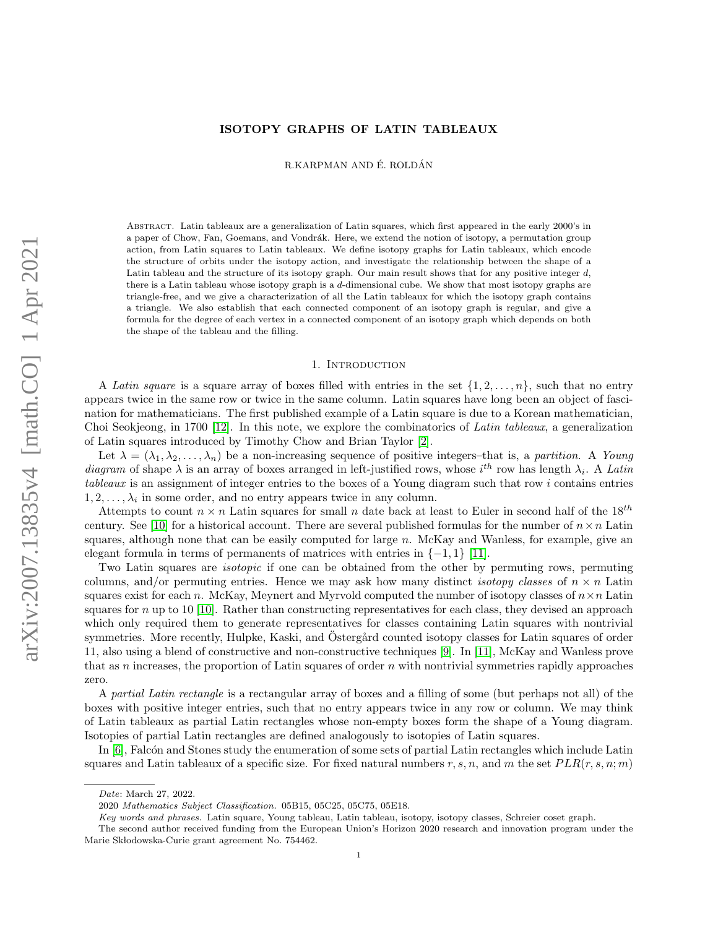## ISOTOPY GRAPHS OF LATIN TABLEAUX

R.KARPMAN AND É. ROLDÁN

Abstract. Latin tableaux are a generalization of Latin squares, which first appeared in the early 2000's in a paper of Chow, Fan, Goemans, and Vondrák. Here, we extend the notion of isotopy, a permutation group action, from Latin squares to Latin tableaux. We define isotopy graphs for Latin tableaux, which encode the structure of orbits under the isotopy action, and investigate the relationship between the shape of a Latin tableau and the structure of its isotopy graph. Our main result shows that for any positive integer  $d$ , there is a Latin tableau whose isotopy graph is a d-dimensional cube. We show that most isotopy graphs are triangle-free, and we give a characterization of all the Latin tableaux for which the isotopy graph contains a triangle. We also establish that each connected component of an isotopy graph is regular, and give a formula for the degree of each vertex in a connected component of an isotopy graph which depends on both the shape of the tableau and the filling.

#### 1. INTRODUCTION

A Latin square is a square array of boxes filled with entries in the set  $\{1, 2, \ldots, n\}$ , such that no entry appears twice in the same row or twice in the same column. Latin squares have long been an object of fascination for mathematicians. The first published example of a Latin square is due to a Korean mathematician, Choi Seokjeong, in 1700 [\[12\]](#page-18-0). In this note, we explore the combinatorics of Latin tableaux, a generalization of Latin squares introduced by Timothy Chow and Brian Taylor [\[2\]](#page-17-0).

Let  $\lambda = (\lambda_1, \lambda_2, \ldots, \lambda_n)$  be a non-increasing sequence of positive integers–that is, a partition. A Young diagram of shape  $\lambda$  is an array of boxes arranged in left-justified rows, whose  $i^{th}$  row has length  $\lambda_i$ . A Latin tableaux is an assignment of integer entries to the boxes of a Young diagram such that row i contains entries  $1, 2, \ldots, \lambda_i$  in some order, and no entry appears twice in any column.

Attempts to count  $n \times n$  Latin squares for small n date back at least to Euler in second half of the 18<sup>th</sup> century. See [\[10\]](#page-18-1) for a historical account. There are several published formulas for the number of  $n \times n$  Latin squares, although none that can be easily computed for large  $n$ . McKay and Wanless, for example, give an elegant formula in terms of permanents of matrices with entries in  $\{-1, 1\}$  [\[11\]](#page-18-2).

Two Latin squares are isotopic if one can be obtained from the other by permuting rows, permuting columns, and/or permuting entries. Hence we may ask how many distinct *isotopy classes* of  $n \times n$  Latin squares exist for each n. McKay, Meynert and Myrvold computed the number of isotopy classes of  $n \times n$  Latin squares for n up to 10 [\[10\]](#page-18-1). Rather than constructing representatives for each class, they devised an approach which only required them to generate representatives for classes containing Latin squares with nontrivial symmetries. More recently, Hulpke, Kaski, and Ostergård counted isotopy classes for Latin squares of order 11, also using a blend of constructive and non-constructive techniques [\[9\]](#page-18-3). In [\[11\]](#page-18-2), McKay and Wanless prove that as n increases, the proportion of Latin squares of order  $n$  with nontrivial symmetries rapidly approaches zero.

A partial Latin rectangle is a rectangular array of boxes and a filling of some (but perhaps not all) of the boxes with positive integer entries, such that no entry appears twice in any row or column. We may think of Latin tableaux as partial Latin rectangles whose non-empty boxes form the shape of a Young diagram. Isotopies of partial Latin rectangles are defined analogously to isotopies of Latin squares.

In [\[6\]](#page-18-4), Falcón and Stones study the enumeration of some sets of partial Latin rectangles which include Latin squares and Latin tableaux of a specific size. For fixed natural numbers r, s, n, and m the set  $PLR(r, s, n; m)$ 

Date: March 27, 2022.

<sup>2020</sup> Mathematics Subject Classification. 05B15, 05C25, 05C75, 05E18.

Key words and phrases. Latin square, Young tableau, Latin tableau, isotopy, isotopy classes, Schreier coset graph.

The second author received funding from the European Union's Horizon 2020 research and innovation program under the Marie Skłodowska-Curie grant agreement No. 754462.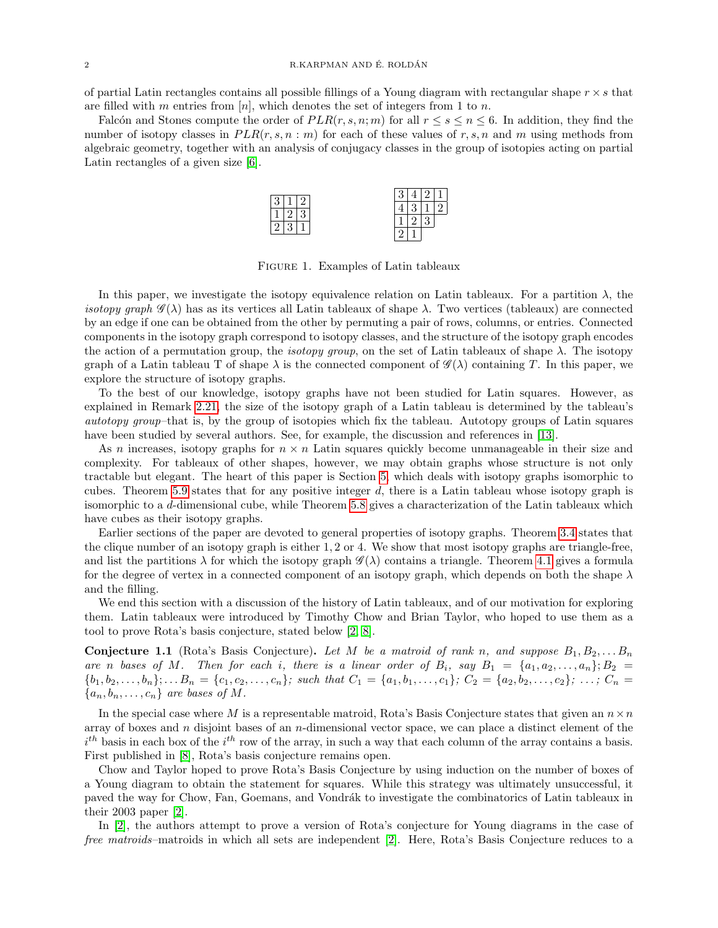of partial Latin rectangles contains all possible fillings of a Young diagram with rectangular shape  $r \times s$  that are filled with m entries from  $[n]$ , which denotes the set of integers from 1 to n.

Falcón and Stones compute the order of  $PLR(r, s, n; m)$  for all  $r \leq s \leq n \leq 6$ . In addition, they find the number of isotopy classes in  $PLR(r, s, n : m)$  for each of these values of r, s, n and m using methods from algebraic geometry, together with an analysis of conjugacy classes in the group of isotopies acting on partial Latin rectangles of a given size [\[6\]](#page-18-4).



Figure 1. Examples of Latin tableaux

In this paper, we investigate the isotopy equivalence relation on Latin tableaux. For a partition  $\lambda$ , the isotopy graph  $\mathscr{G}(\lambda)$  has as its vertices all Latin tableaux of shape  $\lambda$ . Two vertices (tableaux) are connected by an edge if one can be obtained from the other by permuting a pair of rows, columns, or entries. Connected components in the isotopy graph correspond to isotopy classes, and the structure of the isotopy graph encodes the action of a permutation group, the *isotopy group*, on the set of Latin tableaux of shape  $\lambda$ . The isotopy graph of a Latin tableau T of shape  $\lambda$  is the connected component of  $\mathscr{G}(\lambda)$  containing T. In this paper, we explore the structure of isotopy graphs.

To the best of our knowledge, isotopy graphs have not been studied for Latin squares. However, as explained in Remark [2.21,](#page-5-0) the size of the isotopy graph of a Latin tableau is determined by the tableau's autotopy group–that is, by the group of isotopies which fix the tableau. Autotopy groups of Latin squares have been studied by several authors. See, for example, the discussion and references in [\[13\]](#page-18-5).

As n increases, isotopy graphs for  $n \times n$  Latin squares quickly become unmanageable in their size and complexity. For tableaux of other shapes, however, we may obtain graphs whose structure is not only tractable but elegant. The heart of this paper is Section [5,](#page-11-0) which deals with isotopy graphs isomorphic to cubes. Theorem [5.9](#page-14-0) states that for any positive integer d, there is a Latin tableau whose isotopy graph is isomorphic to a d-dimensional cube, while Theorem [5.8](#page-14-1) gives a characterization of the Latin tableaux which have cubes as their isotopy graphs.

Earlier sections of the paper are devoted to general properties of isotopy graphs. Theorem [3.4](#page-8-0) states that the clique number of an isotopy graph is either 1, 2 or 4. We show that most isotopy graphs are triangle-free, and list the partitions  $\lambda$  for which the isotopy graph  $\mathscr{G}(\lambda)$  contains a triangle. Theorem [4.1](#page-10-0) gives a formula for the degree of vertex in a connected component of an isotopy graph, which depends on both the shape  $\lambda$ and the filling.

We end this section with a discussion of the history of Latin tableaux, and of our motivation for exploring them. Latin tableaux were introduced by Timothy Chow and Brian Taylor, who hoped to use them as a tool to prove Rota's basis conjecture, stated below [\[2,](#page-17-0) [8\]](#page-18-6).

**Conjecture 1.1** (Rota's Basis Conjecture). Let M be a matroid of rank n, and suppose  $B_1, B_2, \ldots, B_n$ are n bases of M. Then for each i, there is a linear order of  $B_i$ , say  $B_1 = \{a_1, a_2, \ldots, a_n\}; B_2 =$  $\{b_1, b_2, \ldots, b_n\}; \ldots B_n = \{c_1, c_2, \ldots, c_n\};$  such that  $C_1 = \{a_1, b_1, \ldots, c_1\}; C_2 = \{a_2, b_2, \ldots, c_2\}; \ldots; C_n =$  ${a_n, b_n, \ldots, c_n}$  are bases of M.

In the special case where M is a representable matroid, Rota's Basis Conjecture states that given an  $n \times n$ array of boxes and  $n$  disjoint bases of an  $n$ -dimensional vector space, we can place a distinct element of the  $i<sup>th</sup>$  basis in each box of the  $i<sup>th</sup>$  row of the array, in such a way that each column of the array contains a basis. First published in [\[8\]](#page-18-6), Rota's basis conjecture remains open.

Chow and Taylor hoped to prove Rota's Basis Conjecture by using induction on the number of boxes of a Young diagram to obtain the statement for squares. While this strategy was ultimately unsuccessful, it paved the way for Chow, Fan, Goemans, and Vondrák to investigate the combinatorics of Latin tableaux in their 2003 paper [\[2\]](#page-17-0).

In [\[2\]](#page-17-0), the authors attempt to prove a version of Rota's conjecture for Young diagrams in the case of free matroids–matroids in which all sets are independent [\[2\]](#page-17-0). Here, Rota's Basis Conjecture reduces to a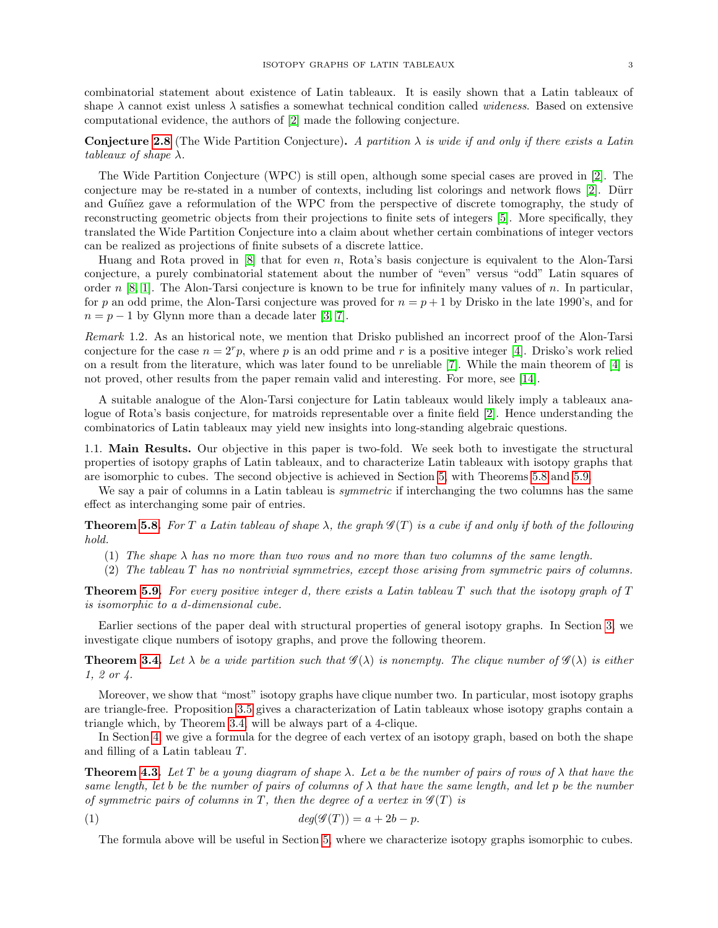combinatorial statement about existence of Latin tableaux. It is easily shown that a Latin tableaux of shape  $\lambda$  cannot exist unless  $\lambda$  satisfies a somewhat technical condition called *wideness*. Based on extensive computational evidence, the authors of [\[2\]](#page-17-0) made the following conjecture.

**Conjecture [2.8](#page-3-0)** (The Wide Partition Conjecture). A partition  $\lambda$  is wide if and only if there exists a Latin tableaux of shape  $\lambda$ .

The Wide Partition Conjecture (WPC) is still open, although some special cases are proved in [\[2\]](#page-17-0). The conjecture may be re-stated in a number of contexts, including list colorings and network flows [\[2\]](#page-17-0). Dürr and Guíñez gave a reformulation of the WPC from the perspective of discrete tomography, the study of reconstructing geometric objects from their projections to finite sets of integers [\[5\]](#page-18-7). More specifically, they translated the Wide Partition Conjecture into a claim about whether certain combinations of integer vectors can be realized as projections of finite subsets of a discrete lattice.

Huang and Rota proved in [\[8\]](#page-18-6) that for even n, Rota's basis conjecture is equivalent to the Alon-Tarsi conjecture, a purely combinatorial statement about the number of "even" versus "odd" Latin squares of order n [\[8,](#page-18-6) [1\]](#page-17-1). The Alon-Tarsi conjecture is known to be true for infinitely many values of n. In particular, for p an odd prime, the Alon-Tarsi conjecture was proved for  $n = p + 1$  by Drisko in the late 1990's, and for  $n = p - 1$  by Glynn more than a decade later [\[3,](#page-17-2) [7\]](#page-18-8).

Remark 1.2. As an historical note, we mention that Drisko published an incorrect proof of the Alon-Tarsi conjecture for the case  $n = 2<sup>r</sup>p$ , where p is an odd prime and r is a positive integer [\[4\]](#page-17-3). Drisko's work relied on a result from the literature, which was later found to be unreliable [\[7\]](#page-18-8). While the main theorem of [\[4\]](#page-17-3) is not proved, other results from the paper remain valid and interesting. For more, see [\[14\]](#page-18-9).

A suitable analogue of the Alon-Tarsi conjecture for Latin tableaux would likely imply a tableaux analogue of Rota's basis conjecture, for matroids representable over a finite field [\[2\]](#page-17-0). Hence understanding the combinatorics of Latin tableaux may yield new insights into long-standing algebraic questions.

1.1. Main Results. Our objective in this paper is two-fold. We seek both to investigate the structural properties of isotopy graphs of Latin tableaux, and to characterize Latin tableaux with isotopy graphs that are isomorphic to cubes. The second objective is achieved in Section [5,](#page-11-0) with Theorems [5.8](#page-14-1) and [5.9.](#page-14-0)

We say a pair of columns in a Latin tableau is *symmetric* if interchanging the two columns has the same effect as interchanging some pair of entries.

**Theorem [5.8.](#page-14-1)** For T a Latin tableau of shape  $\lambda$ , the graph  $\mathscr{G}(T)$  is a cube if and only if both of the following hold.

- (1) The shape  $\lambda$  has no more than two rows and no more than two columns of the same length.
- (2) The tableau T has no nontrivial symmetries, except those arising from symmetric pairs of columns.

**Theorem [5.9.](#page-14-0)** For every positive integer d, there exists a Latin tableau  $T$  such that the isotopy graph of  $T$ is isomorphic to a d-dimensional cube.

Earlier sections of the paper deal with structural properties of general isotopy graphs. In Section [3,](#page-6-0) we investigate clique numbers of isotopy graphs, and prove the following theorem.

**Theorem [3.4.](#page-8-0)** Let  $\lambda$  be a wide partition such that  $\mathscr{G}(\lambda)$  is nonempty. The clique number of  $\mathscr{G}(\lambda)$  is either 1, 2 or 4.

Moreover, we show that "most" isotopy graphs have clique number two. In particular, most isotopy graphs are triangle-free. Proposition [3.5](#page-8-1) gives a characterization of Latin tableaux whose isotopy graphs contain a triangle which, by Theorem [3.4,](#page-8-0) will be always part of a 4-clique.

In Section [4,](#page-9-0) we give a formula for the degree of each vertex of an isotopy graph, based on both the shape and filling of a Latin tableau T.

**Theorem [4.3.](#page-10-1)** Let T be a young diagram of shape  $\lambda$ . Let a be the number of pairs of rows of  $\lambda$  that have the same length, let b be the number of pairs of columns of  $\lambda$  that have the same length, and let p be the number of symmetric pairs of columns in T, then the degree of a vertex in  $\mathscr{G}(T)$  is

$$
(1) \t\t deg(\mathcal{G}(T)) = a + 2b - p.
$$

The formula above will be useful in Section [5,](#page-11-0) where we characterize isotopy graphs isomorphic to cubes.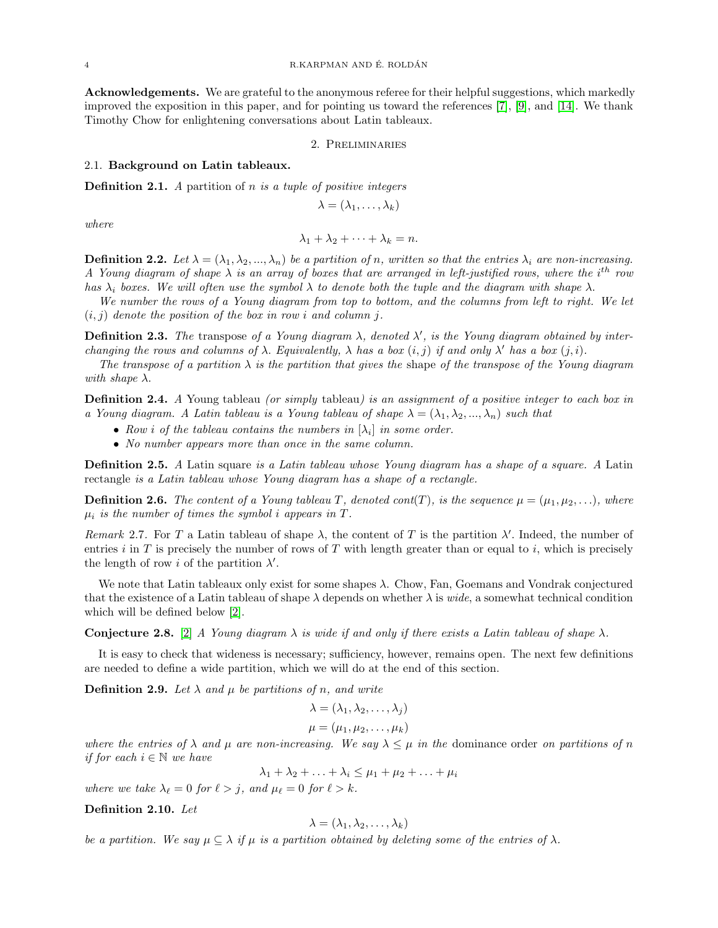Acknowledgements. We are grateful to the anonymous referee for their helpful suggestions, which markedly improved the exposition in this paper, and for pointing us toward the references [\[7\]](#page-18-8), [\[9\]](#page-18-3), and [\[14\]](#page-18-9). We thank Timothy Chow for enlightening conversations about Latin tableaux.

#### 2. Preliminaries

#### 2.1. Background on Latin tableaux.

**Definition 2.1.** A partition of  $n$  is a tuple of positive integers

$$
\lambda=(\lambda_1,\ldots,\lambda_k)
$$

where

$$
\lambda_1 + \lambda_2 + \cdots + \lambda_k = n.
$$

**Definition 2.2.** Let  $\lambda = (\lambda_1, \lambda_2, ..., \lambda_n)$  be a partition of n, written so that the entries  $\lambda_i$  are non-increasing. A Young diagram of shape  $\lambda$  is an array of boxes that are arranged in left-justified rows, where the i<sup>th</sup> row has  $\lambda_i$  boxes. We will often use the symbol  $\lambda$  to denote both the tuple and the diagram with shape  $\lambda$ .

We number the rows of a Young diagram from top to bottom, and the columns from left to right. We let  $(i, j)$  denote the position of the box in row i and column j.

**Definition 2.3.** The transpose of a Young diagram  $\lambda$ , denoted  $\lambda'$ , is the Young diagram obtained by interchanging the rows and columns of  $\lambda$ . Equivalently,  $\lambda$  has a box  $(i, j)$  if and only  $\lambda'$  has a box  $(j, i)$ .

The transpose of a partition  $\lambda$  is the partition that gives the shape of the transpose of the Young diagram with shape  $\lambda$ .

**Definition 2.4.** A Young tableau (or simply tableau) is an assignment of a positive integer to each box in a Young diagram. A Latin tableau is a Young tableau of shape  $\lambda = (\lambda_1, \lambda_2, ..., \lambda_n)$  such that

- Row *i* of the tableau contains the numbers in  $[\lambda_i]$  in some order.
- No number appears more than once in the same column.

**Definition 2.5.** A Latin square is a Latin tableau whose Young diagram has a shape of a square. A Latin rectangle is a Latin tableau whose Young diagram has a shape of a rectangle.

**Definition 2.6.** The content of a Young tableau T, denoted cont(T), is the sequence  $\mu = (\mu_1, \mu_2, \ldots)$ , where  $\mu_i$  is the number of times the symbol i appears in T.

<span id="page-3-1"></span>Remark 2.7. For T a Latin tableau of shape  $\lambda$ , the content of T is the partition  $\lambda'$ . Indeed, the number of entries i in T is precisely the number of rows of T with length greater than or equal to i, which is precisely the length of row *i* of the partition  $\lambda'$ .

We note that Latin tableaux only exist for some shapes λ. Chow, Fan, Goemans and Vondrak conjectured that the existence of a Latin tableau of shape  $\lambda$  depends on whether  $\lambda$  is *wide*, a somewhat technical condition which will be defined below [\[2\]](#page-17-0).

<span id="page-3-0"></span>**Conjecture 2.8.** [\[2\]](#page-17-0) A Young diagram  $\lambda$  is wide if and only if there exists a Latin tableau of shape  $\lambda$ .

It is easy to check that wideness is necessary; sufficiency, however, remains open. The next few definitions are needed to define a wide partition, which we will do at the end of this section.

**Definition 2.9.** Let  $\lambda$  and  $\mu$  be partitions of n, and write

$$
\lambda = (\lambda_1, \lambda_2, \dots, \lambda_j)
$$

$$
\mu = (\mu_1, \mu_2, \dots, \mu_k)
$$

where the entries of  $\lambda$  and  $\mu$  are non-increasing. We say  $\lambda \leq \mu$  in the dominance order on partitions of n if for each  $i \in \mathbb{N}$  we have

 $\lambda_1 + \lambda_2 + \ldots + \lambda_i \leq \mu_1 + \mu_2 + \ldots + \mu_i$ 

where we take  $\lambda_{\ell} = 0$  for  $\ell > j$ , and  $\mu_{\ell} = 0$  for  $\ell > k$ .

Definition 2.10. Let

$$
\lambda = (\lambda_1, \lambda_2, \dots, \lambda_k)
$$

be a partition. We say  $\mu \subseteq \lambda$  if  $\mu$  is a partition obtained by deleting some of the entries of  $\lambda$ .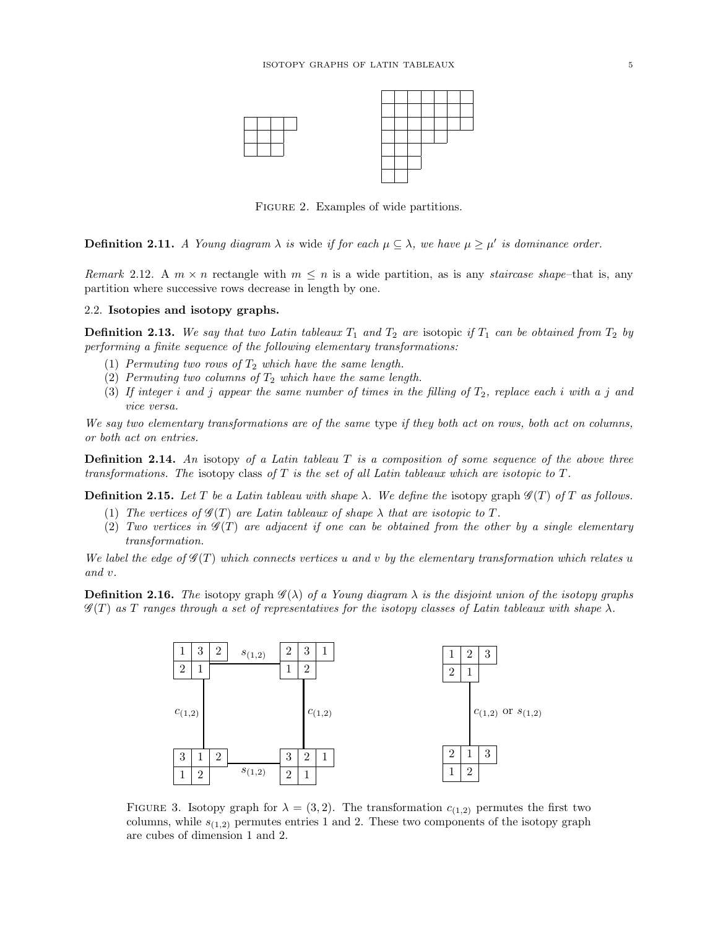

FIGURE 2. Examples of wide partitions.

**Definition 2.11.** A Young diagram  $\lambda$  is wide if for each  $\mu \subseteq \lambda$ , we have  $\mu \geq \mu'$  is dominance order.

Remark 2.12. A  $m \times n$  rectangle with  $m \leq n$  is a wide partition, as is any *staircase shape*–that is, any partition where successive rows decrease in length by one.

## 2.2. Isotopies and isotopy graphs.

**Definition 2.13.** We say that two Latin tableaux  $T_1$  and  $T_2$  are isotopic if  $T_1$  can be obtained from  $T_2$  by performing a finite sequence of the following elementary transformations:

- (1) Permuting two rows of  $T_2$  which have the same length.
- (2) Permuting two columns of  $T_2$  which have the same length.
- (3) If integer i and j appear the same number of times in the filling of  $T_2$ , replace each i with a j and vice versa.

We say two elementary transformations are of the same type if they both act on rows, both act on columns, or both act on entries.

**Definition 2.14.** An isotopy of a Latin tableau  $T$  is a composition of some sequence of the above three transformations. The isotopy class of  $T$  is the set of all Latin tableaux which are isotopic to  $T$ .

**Definition 2.15.** Let T be a Latin tableau with shape  $\lambda$ . We define the isotopy graph  $\mathscr{G}(T)$  of T as follows.

- (1) The vertices of  $\mathscr{G}(T)$  are Latin tableaux of shape  $\lambda$  that are isotopic to T.
- (2) Two vertices in  $\mathscr{G}(T)$  are adjacent if one can be obtained from the other by a single elementary transformation.

We label the edge of  $\mathscr{G}(T)$  which connects vertices u and v by the elementary transformation which relates u and v.

**Definition 2.16.** The isotopy graph  $\mathscr{G}(\lambda)$  of a Young diagram  $\lambda$  is the disjoint union of the isotopy graphs  $\mathscr{G}(T)$  as T ranges through a set of representatives for the isotopy classes of Latin tableaux with shape  $\lambda$ .



FIGURE 3. Isotopy graph for  $\lambda = (3, 2)$ . The transformation  $c_{(1,2)}$  permutes the first two columns, while  $s_{(1,2)}$  permutes entries 1 and 2. These two components of the isotopy graph are cubes of dimension 1 and 2.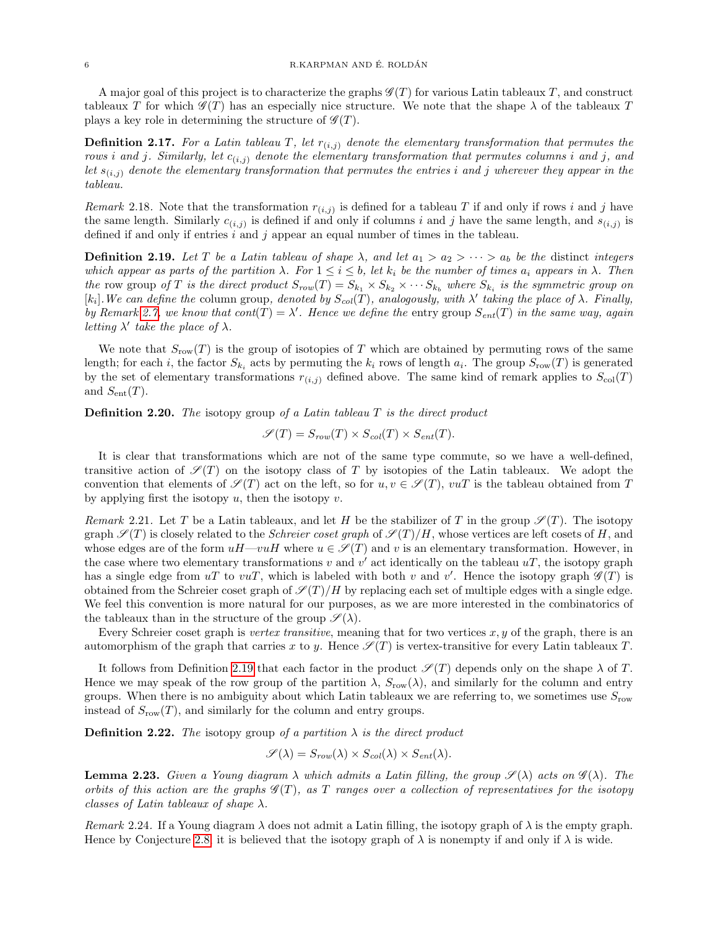A major goal of this project is to characterize the graphs  $\mathscr{G}(T)$  for various Latin tableaux T, and construct tableaux T for which  $\mathscr{G}(T)$  has an especially nice structure. We note that the shape  $\lambda$  of the tableaux T plays a key role in determining the structure of  $\mathscr{G}(T)$ .

**Definition 2.17.** For a Latin tableau T, let  $r_{(i,j)}$  denote the elementary transformation that permutes the rows i and j. Similarly, let  $c_{(i,j)}$  denote the elementary transformation that permutes columns i and j, and let  $s_{(i,j)}$  denote the elementary transformation that permutes the entries i and j wherever they appear in the tableau.

Remark 2.18. Note that the transformation  $r_{(i,j)}$  is defined for a tableau T if and only if rows i and j have the same length. Similarly  $c_{(i,j)}$  is defined if and only if columns i and j have the same length, and  $s_{(i,j)}$  is defined if and only if entries  $i$  and  $j$  appear an equal number of times in the tableau.

<span id="page-5-1"></span>**Definition 2.19.** Let T be a Latin tableau of shape  $\lambda$ , and let  $a_1 > a_2 > \cdots > a_b$  be the distinct integers which appear as parts of the partition  $\lambda$ . For  $1 \leq i \leq b$ , let  $k_i$  be the number of times  $a_i$  appears in  $\lambda$ . Then the row group of T is the direct product  $S_{row}(T) = S_{k_1} \times S_{k_2} \times \cdots S_{k_b}$  where  $S_{k_i}$  is the symmetric group on [k<sub>i</sub>]. We can define the column group, denoted by  $S_{col}(T)$ , analogously, with  $\lambda'$  taking the place of  $\lambda$ . Finally, by Remark [2.7,](#page-3-1) we know that  $cont(T) = \lambda'$ . Hence we define the entry group  $S_{ent}(T)$  in the same way, again letting  $\lambda'$  take the place of  $\lambda$ .

We note that  $S_{\text{row}}(T)$  is the group of isotopies of T which are obtained by permuting rows of the same length; for each *i*, the factor  $S_{k_i}$  acts by permuting the  $k_i$  rows of length  $a_i$ . The group  $S_{\text{row}}(T)$  is generated by the set of elementary transformations  $r_{(i,j)}$  defined above. The same kind of remark applies to  $S_{\text{col}}(T)$ and  $S_{\text{ent}}(T)$ .

**Definition 2.20.** The isotopy group of a Latin tableau  $T$  is the direct product

$$
\mathscr{S}(T) = S_{row}(T) \times S_{col}(T) \times S_{ent}(T).
$$

It is clear that transformations which are not of the same type commute, so we have a well-defined, transitive action of  $\mathscr{S}(T)$  on the isotopy class of T by isotopies of the Latin tableaux. We adopt the convention that elements of  $\mathscr{S}(T)$  act on the left, so for  $u, v \in \mathscr{S}(T)$ ,  $vuT$  is the tableau obtained from T by applying first the isotopy  $u$ , then the isotopy  $v$ .

<span id="page-5-0"></span>Remark 2.21. Let T be a Latin tableaux, and let H be the stabilizer of T in the group  $\mathscr{S}(T)$ . The isotopy graph  $\mathscr{S}(T)$  is closely related to the *Schreier coset graph* of  $\mathscr{S}(T)/H$ , whose vertices are left cosets of H, and whose edges are of the form  $uH-vuH$  where  $u \in \mathscr{S}(T)$  and v is an elementary transformation. However, in the case where two elementary transformations  $v$  and  $v'$  act identically on the tableau  $uT$ , the isotopy graph has a single edge from  $uT$  to  $vuT$ , which is labeled with both v and v'. Hence the isotopy graph  $\mathscr{G}(T)$  is obtained from the Schreier coset graph of  $\mathcal{S}(T)/H$  by replacing each set of multiple edges with a single edge. We feel this convention is more natural for our purposes, as we are more interested in the combinatorics of the tableaux than in the structure of the group  $\mathscr{S}(\lambda)$ .

Every Schreier coset graph is vertex transitive, meaning that for two vertices  $x, y$  of the graph, there is an automorphism of the graph that carries x to y. Hence  $\mathscr{S}(T)$  is vertex-transitive for every Latin tableaux T.

It follows from Definition [2.19](#page-5-1) that each factor in the product  $\mathscr{S}(T)$  depends only on the shape  $\lambda$  of T. Hence we may speak of the row group of the partition  $\lambda$ ,  $S_{\text{row}}(\lambda)$ , and similarly for the column and entry groups. When there is no ambiguity about which Latin tableaux we are referring to, we sometimes use  $S_{\text{row}}$ instead of  $S_{\text{row}}(T)$ , and similarly for the column and entry groups.

**Definition 2.22.** The isotopy group of a partition  $\lambda$  is the direct product

$$
\mathscr{S}(\lambda) = S_{row}(\lambda) \times S_{col}(\lambda) \times S_{ent}(\lambda).
$$

**Lemma 2.23.** Given a Young diagram  $\lambda$  which admits a Latin filling, the group  $\mathscr{S}(\lambda)$  acts on  $\mathscr{G}(\lambda)$ . The orbits of this action are the graphs  $\mathscr{G}(T)$ , as T ranges over a collection of representatives for the isotopy classes of Latin tableaux of shape  $\lambda$ .

Remark 2.24. If a Young diagram  $\lambda$  does not admit a Latin filling, the isotopy graph of  $\lambda$  is the empty graph. Hence by Conjecture [2.8,](#page-3-0) it is believed that the isotopy graph of  $\lambda$  is nonempty if and only if  $\lambda$  is wide.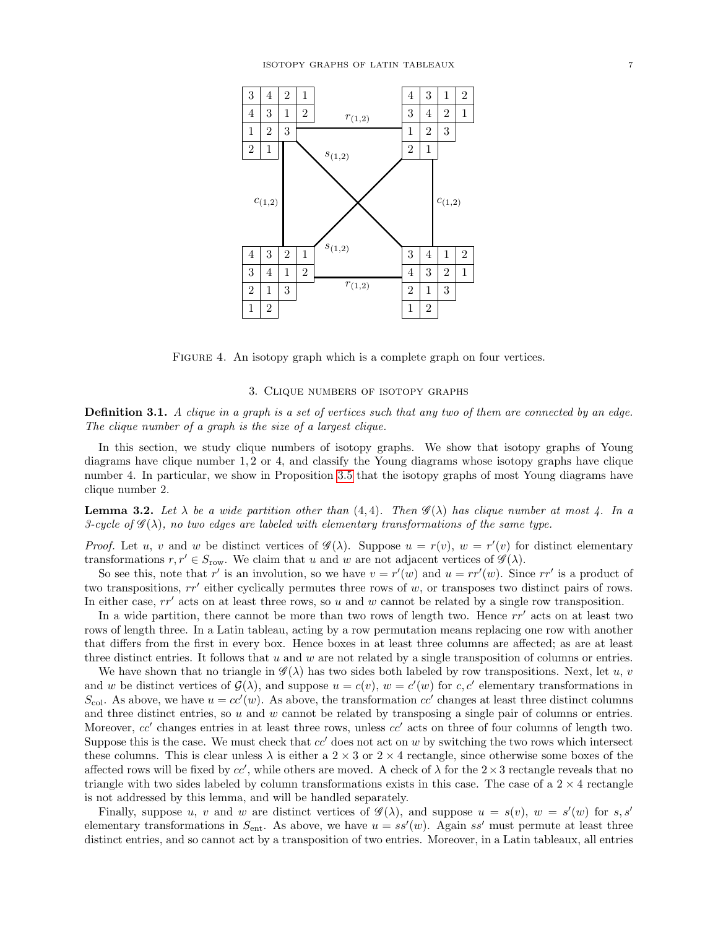

FIGURE 4. An isotopy graph which is a complete graph on four vertices.

## 3. Clique numbers of isotopy graphs

<span id="page-6-0"></span>**Definition 3.1.** A clique in a graph is a set of vertices such that any two of them are connected by an edge. The clique number of a graph is the size of a largest clique.

In this section, we study clique numbers of isotopy graphs. We show that isotopy graphs of Young diagrams have clique number 1, 2 or 4, and classify the Young diagrams whose isotopy graphs have clique number 4. In particular, we show in Proposition [3.5](#page-8-1) that the isotopy graphs of most Young diagrams have clique number 2.

<span id="page-6-1"></span>**Lemma 3.2.** Let  $\lambda$  be a wide partition other than (4, 4). Then  $\mathscr{G}(\lambda)$  has clique number at most  $\lambda$ . In a 3-cycle of  $\mathscr{G}(\lambda)$ , no two edges are labeled with elementary transformations of the same type.

*Proof.* Let u, v and w be distinct vertices of  $\mathscr{G}(\lambda)$ . Suppose  $u = r(v)$ ,  $w = r'(v)$  for distinct elementary transformations  $r, r' \in S_{\text{row}}$ . We claim that u and w are not adjacent vertices of  $\mathscr{G}(\lambda)$ .

So see this, note that r' is an involution, so we have  $v = r'(w)$  and  $u = rr'(w)$ . Since  $rr'$  is a product of two transpositions,  $rr'$  either cyclically permutes three rows of  $w$ , or transposes two distinct pairs of rows. In either case,  $rr'$  acts on at least three rows, so u and w cannot be related by a single row transposition.

In a wide partition, there cannot be more than two rows of length two. Hence  $rr'$  acts on at least two rows of length three. In a Latin tableau, acting by a row permutation means replacing one row with another that differs from the first in every box. Hence boxes in at least three columns are affected; as are at least three distinct entries. It follows that  $u$  and  $w$  are not related by a single transposition of columns or entries.

We have shown that no triangle in  $\mathscr{G}(\lambda)$  has two sides both labeled by row transpositions. Next, let u, v and w be distinct vertices of  $\mathcal{G}(\lambda)$ , and suppose  $u = c(v)$ ,  $w = c'(w)$  for c, c' elementary transformations in  $S_{\text{col}}$ . As above, we have  $u = cc'(w)$ . As above, the transformation  $cc'$  changes at least three distinct columns and three distinct entries, so  $u$  and  $w$  cannot be related by transposing a single pair of columns or entries. Moreover,  $cc'$  changes entries in at least three rows, unless  $cc'$  acts on three of four columns of length two. Suppose this is the case. We must check that  $cc'$  does not act on w by switching the two rows which intersect these columns. This is clear unless  $\lambda$  is either a 2  $\times$  3 or 2  $\times$  4 rectangle, since otherwise some boxes of the affected rows will be fixed by  $cc'$ , while others are moved. A check of  $\lambda$  for the  $2\times 3$  rectangle reveals that no triangle with two sides labeled by column transformations exists in this case. The case of a  $2 \times 4$  rectangle is not addressed by this lemma, and will be handled separately.

Finally, suppose u, v and w are distinct vertices of  $\mathscr{G}(\lambda)$ , and suppose  $u = s(v)$ ,  $w = s'(w)$  for s, s' elementary transformations in  $S_{\text{ent}}$ . As above, we have  $u = ss'(w)$ . Again ss' must permute at least three distinct entries, and so cannot act by a transposition of two entries. Moreover, in a Latin tableaux, all entries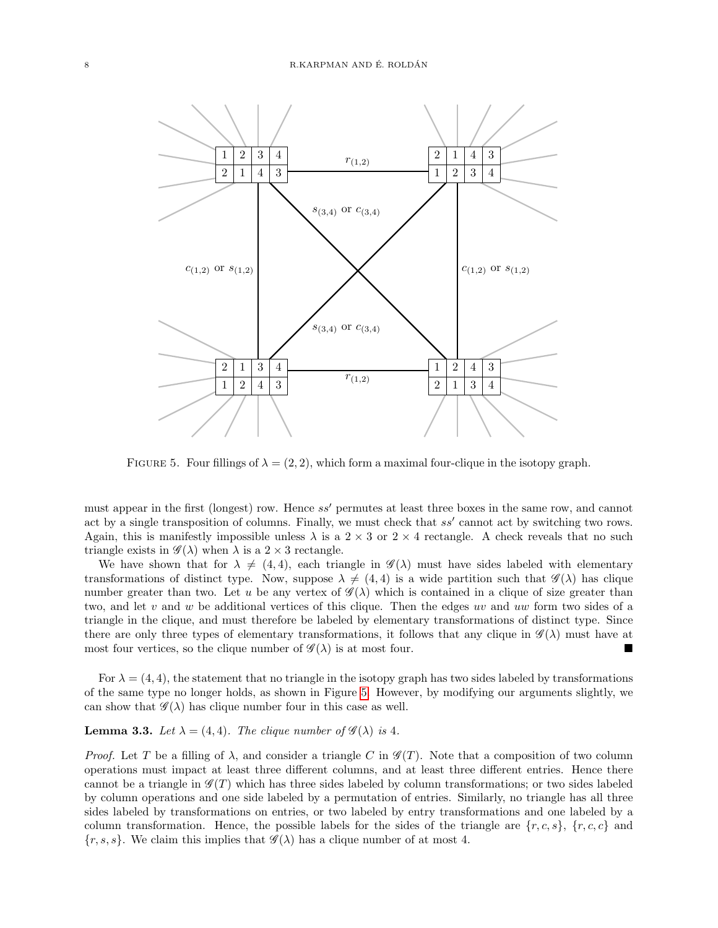<span id="page-7-0"></span>

FIGURE 5. Four fillings of  $\lambda = (2, 2)$ , which form a maximal four-clique in the isotopy graph.

must appear in the first (longest) row. Hence ss' permutes at least three boxes in the same row, and cannot act by a single transposition of columns. Finally, we must check that  $ss'$  cannot act by switching two rows. Again, this is manifestly impossible unless  $\lambda$  is a 2  $\times$  3 or 2  $\times$  4 rectangle. A check reveals that no such triangle exists in  $\mathscr{G}(\lambda)$  when  $\lambda$  is a  $2 \times 3$  rectangle.

We have shown that for  $\lambda \neq (4, 4)$ , each triangle in  $\mathscr{G}(\lambda)$  must have sides labeled with elementary transformations of distinct type. Now, suppose  $\lambda \neq (4, 4)$  is a wide partition such that  $\mathscr{G}(\lambda)$  has clique number greater than two. Let u be any vertex of  $\mathscr{G}(\lambda)$  which is contained in a clique of size greater than two, and let v and w be additional vertices of this clique. Then the edges uv and uw form two sides of a triangle in the clique, and must therefore be labeled by elementary transformations of distinct type. Since there are only three types of elementary transformations, it follows that any clique in  $\mathscr{G}(\lambda)$  must have at most four vertices, so the clique number of  $\mathscr{G}(\lambda)$  is at most four.

For  $\lambda = (4, 4)$ , the statement that no triangle in the isotopy graph has two sides labeled by transformations of the same type no longer holds, as shown in Figure [5.](#page-7-0) However, by modifying our arguments slightly, we can show that  $\mathscr{G}(\lambda)$  has clique number four in this case as well.

## <span id="page-7-1"></span>**Lemma 3.3.** Let  $\lambda = (4, 4)$ . The clique number of  $\mathscr{G}(\lambda)$  is 4.

*Proof.* Let T be a filling of  $\lambda$ , and consider a triangle C in  $\mathscr{G}(T)$ . Note that a composition of two column operations must impact at least three different columns, and at least three different entries. Hence there cannot be a triangle in  $\mathscr{G}(T)$  which has three sides labeled by column transformations; or two sides labeled by column operations and one side labeled by a permutation of entries. Similarly, no triangle has all three sides labeled by transformations on entries, or two labeled by entry transformations and one labeled by a column transformation. Hence, the possible labels for the sides of the triangle are  $\{r, c, s\}$ ,  $\{r, c, c\}$  and  $\{r, s, s\}$ . We claim this implies that  $\mathscr{G}(\lambda)$  has a clique number of at most 4.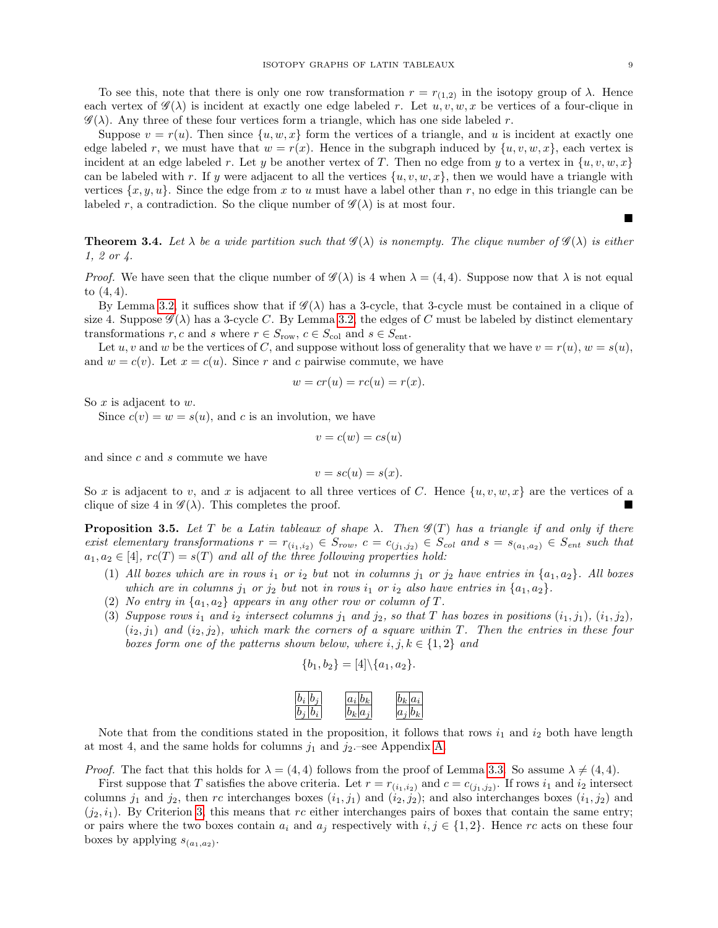$\blacksquare$ 

To see this, note that there is only one row transformation  $r = r_{(1,2)}$  in the isotopy group of  $\lambda$ . Hence each vertex of  $\mathscr{G}(\lambda)$  is incident at exactly one edge labeled r. Let  $u, v, w, x$  be vertices of a four-clique in  $\mathscr{G}(\lambda)$ . Any three of these four vertices form a triangle, which has one side labeled r.

Suppose  $v = r(u)$ . Then since  $\{u, w, x\}$  form the vertices of a triangle, and u is incident at exactly one edge labeled r, we must have that  $w = r(x)$ . Hence in the subgraph induced by  $\{u, v, w, x\}$ , each vertex is incident at an edge labeled r. Let y be another vertex of T. Then no edge from y to a vertex in  $\{u, v, w, x\}$ can be labeled with r. If y were adjacent to all the vertices  $\{u, v, w, x\}$ , then we would have a triangle with vertices  $\{x, y, u\}$ . Since the edge from x to u must have a label other than r, no edge in this triangle can be labeled r, a contradiction. So the clique number of  $\mathscr{G}(\lambda)$  is at most four.

<span id="page-8-0"></span>**Theorem 3.4.** Let  $\lambda$  be a wide partition such that  $\mathscr{G}(\lambda)$  is nonempty. The clique number of  $\mathscr{G}(\lambda)$  is either 1, 2 or 4.

*Proof.* We have seen that the clique number of  $\mathscr{G}(\lambda)$  is 4 when  $\lambda = (4, 4)$ . Suppose now that  $\lambda$  is not equal to (4, 4).

By Lemma [3.2,](#page-6-1) it suffices show that if  $\mathscr{G}(\lambda)$  has a 3-cycle, that 3-cycle must be contained in a clique of size 4. Suppose  $\mathscr{G}(\lambda)$  has a 3-cycle C. By Lemma [3.2,](#page-6-1) the edges of C must be labeled by distinct elementary transformations  $r, c$  and  $s$  where  $r \in S_{\text{row}}$ ,  $c \in S_{\text{col}}$  and  $s \in S_{\text{ent}}$ .

Let u, v and w be the vertices of C, and suppose without loss of generality that we have  $v = r(u)$ ,  $w = s(u)$ , and  $w = c(v)$ . Let  $x = c(u)$ . Since r and c pairwise commute, we have

$$
w = cr(u) = rc(u) = r(x).
$$

So  $x$  is adjacent to  $w$ .

Since  $c(v) = w = s(u)$ , and c is an involution, we have

$$
v = c(w) = cs(u)
$$

and since c and s commute we have

$$
v = sc(u) = s(x).
$$

So x is adjacent to v, and x is adjacent to all three vertices of C. Hence  $\{u, v, w, x\}$  are the vertices of a clique of size 4 in  $\mathscr{G}(\lambda)$ . This completes the proof.

<span id="page-8-1"></span>**Proposition 3.5.** Let T be a Latin tableaux of shape  $\lambda$ . Then  $\mathscr{G}(T)$  has a triangle if and only if there exist elementary transformations  $r = r_{(i_1,i_2)} \in S_{row}$ ,  $c = c_{(j_1,j_2)} \in S_{col}$  and  $s = s_{(a_1,a_2)} \in S_{ent}$  such that  $a_1, a_2 \in [4]$ ,  $rc(T) = s(T)$  and all of the three following properties hold:

- <span id="page-8-3"></span>(1) All boxes which are in rows i<sub>1</sub> or i<sub>2</sub> but not in columns j<sub>1</sub> or j<sub>2</sub> have entries in  $\{a_1, a_2\}$ . All boxes which are in columns  $j_1$  or  $j_2$  but not in rows  $i_1$  or  $i_2$  also have entries in  $\{a_1, a_2\}$ .
- <span id="page-8-4"></span>(2) No entry in  $\{a_1, a_2\}$  appears in any other row or column of T.
- <span id="page-8-2"></span>(3) Suppose rows  $i_1$  and  $i_2$  intersect columns  $j_1$  and  $j_2$ , so that T has boxes in positions  $(i_1, j_1), (i_1, j_2),$  $(i_2, j_1)$  and  $(i_2, j_2)$ , which mark the corners of a square within T. Then the entries in these four boxes form one of the patterns shown below, where  $i, j, k \in \{1, 2\}$  and

$$
\{b_1, b_2\} = [4] \setminus \{a_1, a_2\}.
$$

| $ b_i b_j$  | $ a_i b_k $ | $ b_k a_i $ |
|-------------|-------------|-------------|
| $ b_i b_i $ | $ b_k a_j $ | $ a_j b_k $ |

Note that from the conditions stated in the proposition, it follows that rows  $i_1$  and  $i_2$  both have length at most 4, and the same holds for columns  $j_1$  and  $j_2$ -see Appendix [A.](#page-16-0)

*Proof.* The fact that this holds for  $\lambda = (4, 4)$  follows from the proof of Lemma [3.3.](#page-7-1) So assume  $\lambda \neq (4, 4)$ .

First suppose that T satisfies the above criteria. Let  $r = r_{(i_1,i_2)}$  and  $c = c_{(j_1,j_2)}$ . If rows  $i_1$  and  $i_2$  intersect columns  $j_1$  and  $j_2$ , then rc interchanges boxes  $(i_1, j_1)$  and  $(i_2, j_2)$ ; and also interchanges boxes  $(i_1, j_2)$  and  $(j_2, i_1)$ . By Criterion [3,](#page-8-2) this means that rc either interchanges pairs of boxes that contain the same entry; or pairs where the two boxes contain  $a_i$  and  $a_j$  respectively with  $i, j \in \{1, 2\}$ . Hence rc acts on these four boxes by applying  $s_{(a_1,a_2)}$ .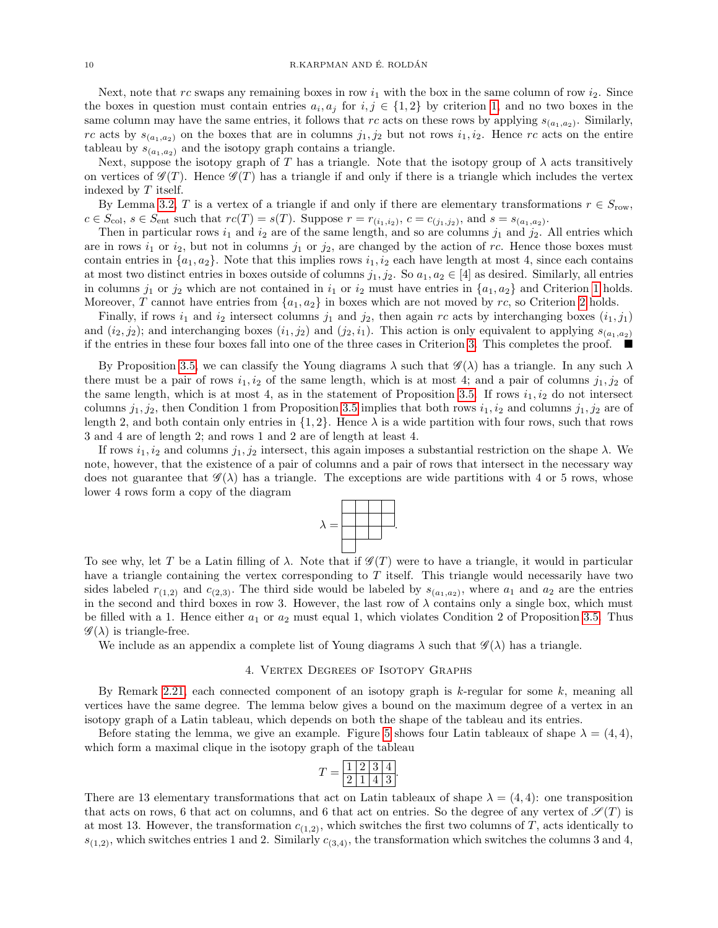Next, note that rc swaps any remaining boxes in row  $i_1$  with the box in the same column of row  $i_2$ . Since the boxes in question must contain entries  $a_i, a_j$  for  $i, j \in \{1, 2\}$  by criterion [1,](#page-8-3) and no two boxes in the same column may have the same entries, it follows that rc acts on these rows by applying  $s_{(a_1,a_2)}$ . Similarly, rc acts by  $s_{(a_1,a_2)}$  on the boxes that are in columns  $j_1, j_2$  but not rows  $i_1, i_2$ . Hence rc acts on the entire tableau by  $s_{(a_1,a_2)}$  and the isotopy graph contains a triangle.

Next, suppose the isotopy graph of T has a triangle. Note that the isotopy group of  $\lambda$  acts transitively on vertices of  $\mathscr{G}(T)$ . Hence  $\mathscr{G}(T)$  has a triangle if and only if there is a triangle which includes the vertex indexed by T itself.

By Lemma [3.2,](#page-6-1) T is a vertex of a triangle if and only if there are elementary transformations  $r \in S_{\text{row}}$ ,  $c \in S_{\text{col}}$ ,  $s \in S_{\text{ent}}$  such that  $rc(T) = s(T)$ . Suppose  $r = r_{(i_1, i_2)}$ ,  $c = c_{(j_1, j_2)}$ , and  $s = s_{(a_1, a_2)}$ .

Then in particular rows  $i_1$  and  $i_2$  are of the same length, and so are columns  $j_1$  and  $j_2$ . All entries which are in rows  $i_1$  or  $i_2$ , but not in columns  $j_1$  or  $j_2$ , are changed by the action of rc. Hence those boxes must contain entries in  $\{a_1, a_2\}$ . Note that this implies rows  $i_1, i_2$  each have length at most 4, since each contains at most two distinct entries in boxes outside of columns  $j_1, j_2$ . So  $a_1, a_2 \in [4]$  as desired. Similarly, all entries in columns  $j_1$  or  $j_2$  which are not contained in  $i_1$  or  $i_2$  must have entries in  $\{a_1, a_2\}$  and Criterion [1](#page-8-3) holds. Moreover, T cannot have entries from  $\{a_1, a_2\}$  in boxes which are not moved by rc, so Criterion [2](#page-8-4) holds.

Finally, if rows  $i_1$  and  $i_2$  intersect columns  $j_1$  and  $j_2$ , then again rc acts by interchanging boxes  $(i_1, j_1)$ and  $(i_2, j_2)$ ; and interchanging boxes  $(i_1, j_2)$  and  $(j_2, i_1)$ . This action is only equivalent to applying  $s_{(a_1, a_2)}$ if the entries in these four boxes fall into one of the three cases in Criterion [3.](#page-8-2) This completes the proof.  $\blacksquare$ 

By Proposition [3.5,](#page-8-1) we can classify the Young diagrams  $\lambda$  such that  $\mathscr{G}(\lambda)$  has a triangle. In any such  $\lambda$ there must be a pair of rows  $i_1, i_2$  of the same length, which is at most 4; and a pair of columns  $j_1, j_2$  of the same length, which is at most 4, as in the statement of Proposition [3.5.](#page-8-1) If rows  $i_1, i_2$  do not intersect columns  $j_1, j_2$ , then Condition 1 from Proposition [3.5](#page-8-1) implies that both rows  $i_1, i_2$  and columns  $j_1, j_2$  are of length 2, and both contain only entries in  $\{1, 2\}$ . Hence  $\lambda$  is a wide partition with four rows, such that rows 3 and 4 are of length 2; and rows 1 and 2 are of length at least 4.

If rows  $i_1, i_2$  and columns  $j_1, j_2$  intersect, this again imposes a substantial restriction on the shape  $\lambda$ . We note, however, that the existence of a pair of columns and a pair of rows that intersect in the necessary way does not guarantee that  $\mathscr{G}(\lambda)$  has a triangle. The exceptions are wide partitions with 4 or 5 rows, whose lower 4 rows form a copy of the diagram



To see why, let T be a Latin filling of  $\lambda$ . Note that if  $\mathscr{G}(T)$  were to have a triangle, it would in particular have a triangle containing the vertex corresponding to  $T$  itself. This triangle would necessarily have two sides labeled  $r_{(1,2)}$  and  $c_{(2,3)}$ . The third side would be labeled by  $s_{(a_1,a_2)}$ , where  $a_1$  and  $a_2$  are the entries in the second and third boxes in row 3. However, the last row of  $\lambda$  contains only a single box, which must be filled with a 1. Hence either  $a_1$  or  $a_2$  must equal 1, which violates Condition 2 of Proposition [3.5.](#page-8-1) Thus  $\mathscr{G}(\lambda)$  is triangle-free.

We include as an appendix a complete list of Young diagrams  $\lambda$  such that  $\mathscr{G}(\lambda)$  has a triangle.

#### 4. Vertex Degrees of Isotopy Graphs

<span id="page-9-0"></span>By Remark [2.21,](#page-5-0) each connected component of an isotopy graph is  $k$ -regular for some  $k$ , meaning all vertices have the same degree. The lemma below gives a bound on the maximum degree of a vertex in an isotopy graph of a Latin tableau, which depends on both the shape of the tableau and its entries.

Before stating the lemma, we give an example. Figure [5](#page-7-0) shows four Latin tableaux of shape  $\lambda = (4, 4)$ , which form a maximal clique in the isotopy graph of the tableau

$$
T = \frac{1 \; 2 \; 3 \; 4}{2 \; 1 \; 4 \; 3}.
$$

There are 13 elementary transformations that act on Latin tableaux of shape  $\lambda = (4, 4)$ : one transposition that acts on rows, 6 that act on columns, and 6 that act on entries. So the degree of any vertex of  $\mathscr{S}(T)$  is at most 13. However, the transformation  $c_{(1,2)}$ , which switches the first two columns of T, acts identically to  $s_{(1,2)}$ , which switches entries 1 and 2. Similarly  $c_{(3,4)}$ , the transformation which switches the columns 3 and 4,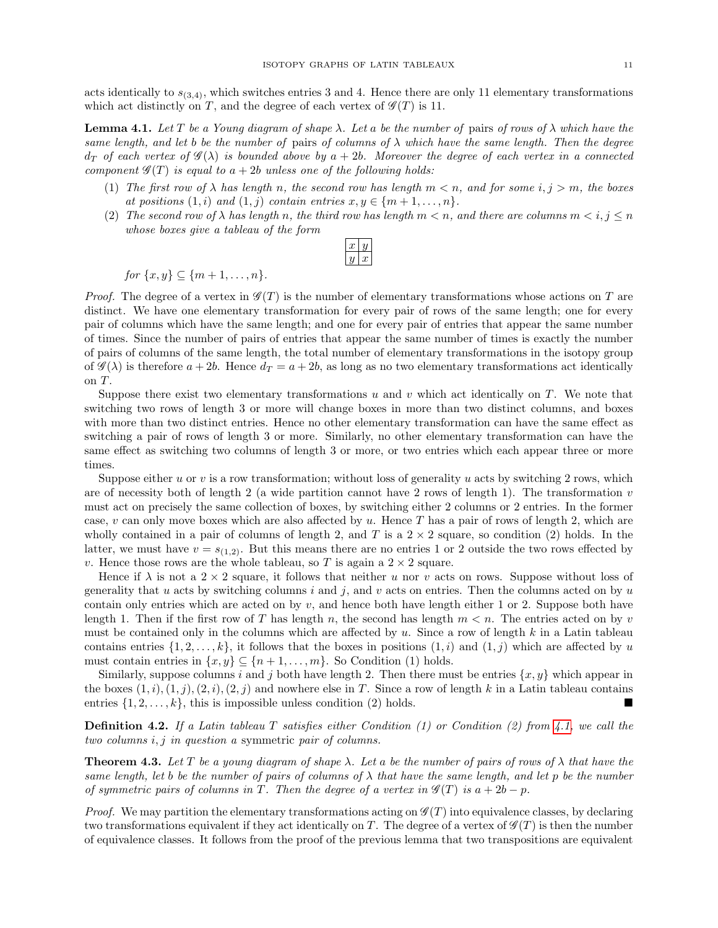acts identically to  $s_{(3,4)}$ , which switches entries 3 and 4. Hence there are only 11 elementary transformations which act distinctly on T, and the degree of each vertex of  $\mathscr{G}(T)$  is 11.

<span id="page-10-0"></span>**Lemma 4.1.** Let T be a Young diagram of shape  $\lambda$ . Let a be the number of pairs of rows of  $\lambda$  which have the same length, and let b be the number of pairs of columns of  $\lambda$  which have the same length. Then the degree  $d_T$  of each vertex of  $\mathscr{G}(\lambda)$  is bounded above by  $a + 2b$ . Moreover the degree of each vertex in a connected component  $\mathscr{G}(T)$  is equal to  $a + 2b$  unless one of the following holds:

- (1) The first row of  $\lambda$  has length n, the second row has length  $m < n$ , and for some  $i, j > m$ , the boxes at positions  $(1, i)$  and  $(1, j)$  contain entries  $x, y \in \{m+1, \ldots, n\}.$
- (2) The second row of  $\lambda$  has length n, the third row has length  $m < n$ , and there are columns  $m < i, j \leq n$ whose boxes give a tableau of the form

for  $\{x, y\} \subset \{m+1, \ldots, n\}.$ 

*Proof.* The degree of a vertex in  $\mathscr{G}(T)$  is the number of elementary transformations whose actions on T are distinct. We have one elementary transformation for every pair of rows of the same length; one for every pair of columns which have the same length; and one for every pair of entries that appear the same number of times. Since the number of pairs of entries that appear the same number of times is exactly the number of pairs of columns of the same length, the total number of elementary transformations in the isotopy group of  $\mathscr{G}(\lambda)$  is therefore  $a+2b$ . Hence  $d_T = a+2b$ , as long as no two elementary transformations act identically on T.

Suppose there exist two elementary transformations u and v which act identically on  $T$ . We note that switching two rows of length 3 or more will change boxes in more than two distinct columns, and boxes with more than two distinct entries. Hence no other elementary transformation can have the same effect as switching a pair of rows of length 3 or more. Similarly, no other elementary transformation can have the same effect as switching two columns of length 3 or more, or two entries which each appear three or more times.

Suppose either u or v is a row transformation; without loss of generality u acts by switching 2 rows, which are of necessity both of length 2 (a wide partition cannot have 2 rows of length 1). The transformation  $v$ must act on precisely the same collection of boxes, by switching either 2 columns or 2 entries. In the former case,  $v$  can only move boxes which are also affected by  $u$ . Hence T has a pair of rows of length 2, which are wholly contained in a pair of columns of length 2, and T is a  $2 \times 2$  square, so condition (2) holds. In the latter, we must have  $v = s_{(1,2)}$ . But this means there are no entries 1 or 2 outside the two rows effected by v. Hence those rows are the whole tableau, so T is again a  $2 \times 2$  square.

Hence if  $\lambda$  is not a  $2 \times 2$  square, it follows that neither u nor v acts on rows. Suppose without loss of generality that u acts by switching columns i and j, and v acts on entries. Then the columns acted on by u contain only entries which are acted on by  $v$ , and hence both have length either 1 or 2. Suppose both have length 1. Then if the first row of T has length  $n$ , the second has length  $m < n$ . The entries acted on by v must be contained only in the columns which are affected by u. Since a row of length  $k$  in a Latin tableau contains entries  $\{1, 2, \ldots, k\}$ , it follows that the boxes in positions  $(1, i)$  and  $(1, j)$  which are affected by u must contain entries in  $\{x, y\} \subseteq \{n+1, \ldots, m\}$ . So Condition (1) holds.

Similarly, suppose columns i and j both have length 2. Then there must be entries  $\{x, y\}$  which appear in the boxes  $(1, i), (1, j), (2, i), (2, i)$  and nowhere else in T. Since a row of length k in a Latin tableau contains entries  $\{1, 2, \ldots, k\}$ , this is impossible unless condition (2) holds.

**Definition 4.2.** If a Latin tableau T satisfies either Condition (1) or Condition (2) from [4.1,](#page-10-0) we call the two columns i, j in question a symmetric pair of columns.

<span id="page-10-1"></span>**Theorem 4.3.** Let T be a young diagram of shape  $\lambda$ . Let a be the number of pairs of rows of  $\lambda$  that have the same length, let b be the number of pairs of columns of  $\lambda$  that have the same length, and let p be the number of symmetric pairs of columns in T. Then the degree of a vertex in  $\mathscr{G}(T)$  is  $a + 2b - p$ .

*Proof.* We may partition the elementary transformations acting on  $\mathscr{G}(T)$  into equivalence classes, by declaring two transformations equivalent if they act identically on T. The degree of a vertex of  $\mathscr{G}(T)$  is then the number of equivalence classes. It follows from the proof of the previous lemma that two transpositions are equivalent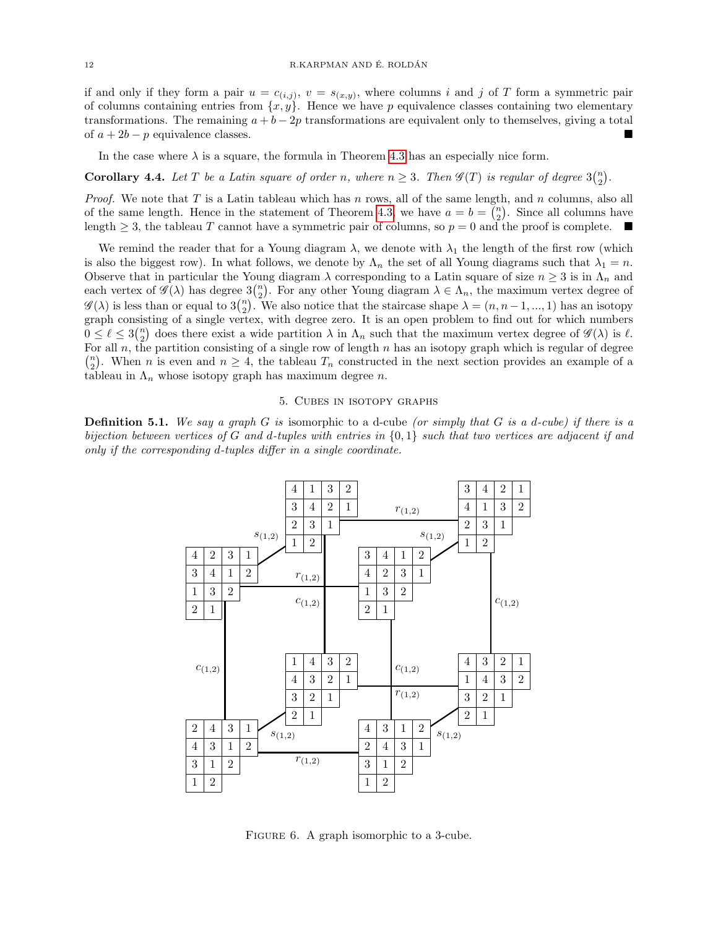if and only if they form a pair  $u = c_{(i,j)}$ ,  $v = s_{(x,y)}$ , where columns i and j of T form a symmetric pair of columns containing entries from  $\{x, y\}$ . Hence we have p equivalence classes containing two elementary transformations. The remaining  $a + b - 2p$  transformations are equivalent only to themselves, giving a total of  $a + 2b - p$  equivalence classes.

In the case where  $\lambda$  is a square, the formula in Theorem [4.3](#page-10-1) has an especially nice form.

# **Corollary 4.4.** Let T be a Latin square of order n, where  $n \geq 3$ . Then  $\mathscr{G}(T)$  is regular of degree  $3\binom{n}{2}$ .

*Proof.* We note that T is a Latin tableau which has n rows, all of the same length, and n columns, also all of the same length. Hence in the statement of Theorem [4.3,](#page-10-1) we have  $a = b = \binom{n}{2}$ . Since all columns have length  $\geq$  3, the tableau T cannot have a symmetric pair of columns, so  $p = 0$  and the proof is complete.

We remind the reader that for a Young diagram  $\lambda$ , we denote with  $\lambda_1$  the length of the first row (which is also the biggest row). In what follows, we denote by  $\Lambda_n$  the set of all Young diagrams such that  $\lambda_1 = n$ . Observe that in particular the Young diagram  $\lambda$  corresponding to a Latin square of size  $n \geq 3$  is in  $\Lambda_n$  and each vertex of  $\mathscr{G}(\lambda)$  has degree  $3\binom{n}{2}$ . For any other Young diagram  $\lambda \in \Lambda_n$ , the maximum vertex degree of  $\mathscr{G}(\lambda)$  is less than or equal to  $3\binom{n}{2}$ . We also notice that the staircase shape  $\lambda = (n, n-1, ..., 1)$  has an isotopy graph consisting of a single vertex, with degree zero. It is an open problem to find out for which numbers  $0 \leq \ell \leq 3\binom{n}{2}$  does there exist a wide partition  $\lambda$  in  $\Lambda_n$  such that the maximum vertex degree of  $\mathscr{G}(\lambda)$  is  $\ell$ . For all  $n$ , the partition consisting of a single row of length  $n$  has an isotopy graph which is regular of degree  $\binom{n}{2}$ . When n is even and  $n \geq 4$ , the tableau  $T_n$  constructed in the next section provides an example of a tableau in  $\Lambda_n$  whose isotopy graph has maximum degree n.

#### 5. Cubes in isotopy graphs

<span id="page-11-0"></span>**Definition 5.1.** We say a graph G is isomorphic to a d-cube (or simply that G is a d-cube) if there is a bijection between vertices of G and d-tuples with entries in {0, 1} such that two vertices are adjacent if and only if the corresponding d-tuples differ in a single coordinate.



FIGURE 6. A graph isomorphic to a 3-cube.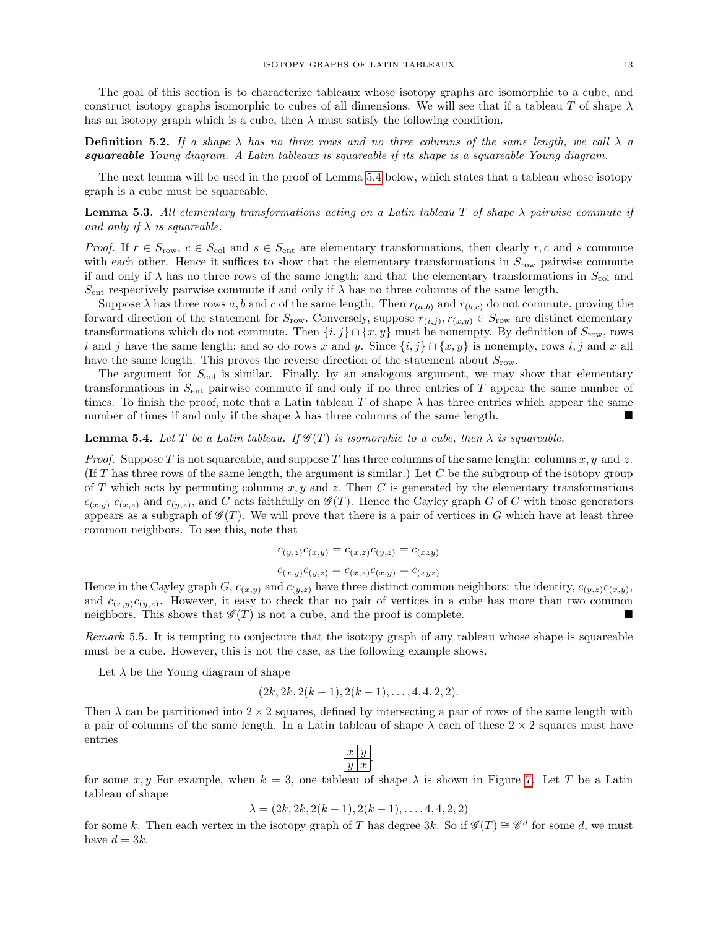The goal of this section is to characterize tableaux whose isotopy graphs are isomorphic to a cube, and construct isotopy graphs isomorphic to cubes of all dimensions. We will see that if a tableau T of shape  $\lambda$ has an isotopy graph which is a cube, then  $\lambda$  must satisfy the following condition.

**Definition 5.2.** If a shape  $\lambda$  has no three rows and no three columns of the same length, we call  $\lambda$  a squareable Young diagram. A Latin tableaux is squareable if its shape is a squareable Young diagram.

The next lemma will be used in the proof of Lemma [5.4](#page-12-0) below, which states that a tableau whose isotopy graph is a cube must be squareable.

**Lemma 5.3.** All elementary transformations acting on a Latin tableau T of shape  $\lambda$  pairwise commute if and only if  $\lambda$  is squareable.

*Proof.* If  $r \in S_{\text{row}}$ ,  $c \in S_{\text{col}}$  and  $s \in S_{\text{ent}}$  are elementary transformations, then clearly  $r, c$  and s commute with each other. Hence it suffices to show that the elementary transformations in  $S_{\text{row}}$  pairwise commute if and only if  $\lambda$  has no three rows of the same length; and that the elementary transformations in  $S_{\text{col}}$  and  $S_{\text{ent}}$  respectively pairwise commute if and only if  $\lambda$  has no three columns of the same length.

Suppose  $\lambda$  has three rows a, b and c of the same length. Then  $r_{(a,b)}$  and  $r_{(b,c)}$  do not commute, proving the forward direction of the statement for  $S_{\text{row}}$ . Conversely, suppose  $r_{(i,j)}, r_{(x,y)} \in S_{\text{row}}$  are distinct elementary transformations which do not commute. Then  $\{i, j\} \cap \{x, y\}$  must be nonempty. By definition of  $S_{\text{row}}$ , rows i and j have the same length; and so do rows x and y. Since  $\{i, j\} \cap \{x, y\}$  is nonempty, rows i, j and x all have the same length. This proves the reverse direction of the statement about  $S_{\text{row}}$ .

The argument for  $S_{\text{col}}$  is similar. Finally, by an analogous argument, we may show that elementary transformations in  $S_{\text{ent}}$  pairwise commute if and only if no three entries of T appear the same number of times. To finish the proof, note that a Latin tableau T of shape  $\lambda$  has three entries which appear the same number of times if and only if the shape  $\lambda$  has three columns of the same length.

<span id="page-12-0"></span>**Lemma 5.4.** Let T be a Latin tableau. If  $\mathscr{G}(T)$  is isomorphic to a cube, then  $\lambda$  is squareable.

*Proof.* Suppose T is not squareable, and suppose T has three columns of the same length: columns  $x, y$  and  $z$ . (If T has three rows of the same length, the argument is similar.) Let C be the subgroup of the isotopy group of T which acts by permuting columns  $x, y$  and  $z$ . Then C is generated by the elementary transformations  $c_{(x,y)}$   $c_{(x,z)}$  and  $c_{(y,z)}$ , and C acts faithfully on  $\mathscr{G}(T)$ . Hence the Cayley graph G of C with those generators appears as a subgraph of  $\mathscr{G}(T)$ . We will prove that there is a pair of vertices in G which have at least three common neighbors. To see this, note that

$$
c_{(y,z)}c_{(x,y)} = c_{(x,z)}c_{(y,z)} = c_{(xzy)}
$$

$$
c_{(x,y)}c_{(y,z)} = c_{(x,z)}c_{(x,y)} = c_{(xyz)}
$$

Hence in the Cayley graph  $G, c_{(x,y)}$  and  $c_{(y,z)}$  have three distinct common neighbors: the identity,  $c_{(y,z)}c_{(x,y)}$ , and  $c_{(x,y)}c_{(y,z)}$ . However, it easy to check that no pair of vertices in a cube has more than two common neighbors. This shows that  $\mathscr{G}(T)$  is not a cube, and the proof is complete.

Remark 5.5. It is tempting to conjecture that the isotopy graph of any tableau whose shape is squareable must be a cube. However, this is not the case, as the following example shows.

Let  $\lambda$  be the Young diagram of shape

$$
(2k, 2k, 2(k-1), 2(k-1), \ldots, 4, 4, 2, 2).
$$

Then  $\lambda$  can be partitioned into  $2 \times 2$  squares, defined by intersecting a pair of rows of the same length with a pair of columns of the same length. In a Latin tableau of shape  $\lambda$  each of these  $2 \times 2$  squares must have entries

for some x, y For example, when  $k = 3$ , one tableau of shape  $\lambda$  is shown in Figure [7.](#page-13-0) Let T be a Latin tableau of shape

$$
\lambda = (2k, 2k, 2(k-1), 2(k-1), \dots, 4, 4, 2, 2)
$$

for some k. Then each vertex in the isotopy graph of T has degree 3k. So if  $\mathscr{G}(T) \cong \mathscr{C}^d$  for some d, we must have  $d = 3k$ .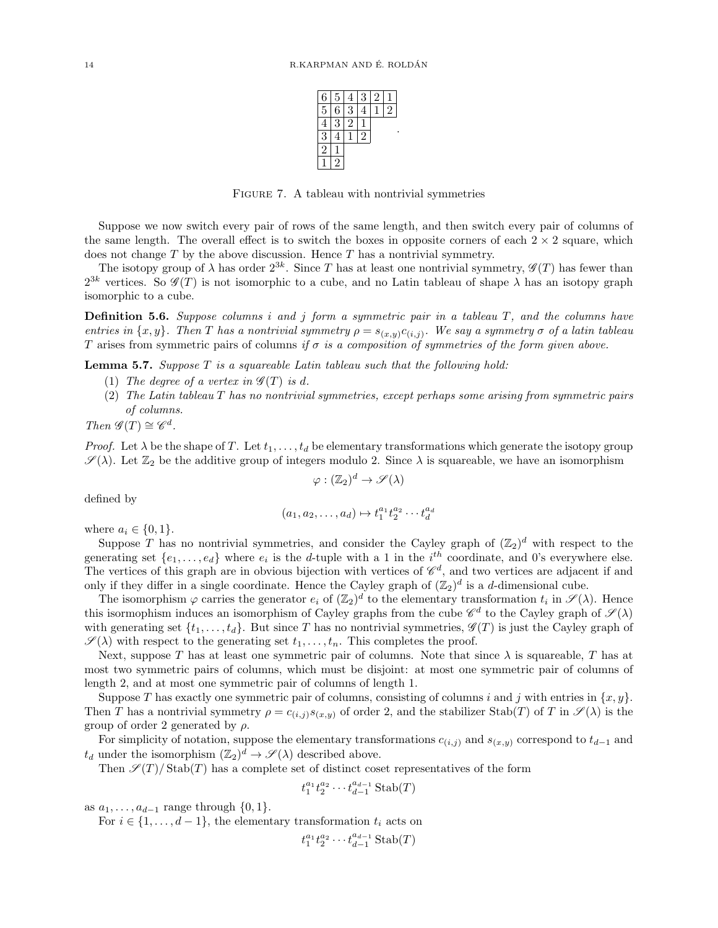

FIGURE 7. A tableau with nontrivial symmetries

<span id="page-13-0"></span>Suppose we now switch every pair of rows of the same length, and then switch every pair of columns of the same length. The overall effect is to switch the boxes in opposite corners of each  $2 \times 2$  square, which does not change  $T$  by the above discussion. Hence  $T$  has a nontrivial symmetry.

The isotopy group of  $\lambda$  has order  $2^{3k}$ . Since T has at least one nontrivial symmetry,  $\mathscr{G}(T)$  has fewer than  $2^{3k}$  vertices. So  $\mathscr{G}(T)$  is not isomorphic to a cube, and no Latin tableau of shape  $\lambda$  has an isotopy graph isomorphic to a cube.

**Definition 5.6.** Suppose columns i and j form a symmetric pair in a tableau  $T$ , and the columns have entries in  $\{x, y\}$ . Then T has a nontrivial symmetry  $\rho = s_{(x, y)} c_{(i, j)}$ . We say a symmetry  $\sigma$  of a latin tableau T arises from symmetric pairs of columns if  $\sigma$  is a composition of symmetries of the form given above.

<span id="page-13-1"></span>**Lemma 5.7.** Suppose  $T$  is a squareable Latin tableau such that the following hold:

- (1) The degree of a vertex in  $\mathscr{G}(T)$  is d.
- (2) The Latin tableau T has no nontrivial symmetries, except perhaps some arising from symmetric pairs of columns.

Then  $\mathscr{G}(T) \cong \mathscr{C}^d$ .

*Proof.* Let  $\lambda$  be the shape of T. Let  $t_1, \ldots, t_d$  be elementary transformations which generate the isotopy group  $\mathscr{S}(\lambda)$ . Let  $\mathbb{Z}_2$  be the additive group of integers modulo 2. Since  $\lambda$  is squareable, we have an isomorphism

$$
\varphi : (\mathbb{Z}_2)^d \to \mathscr{S}(\lambda)
$$

defined by

$$
(a_1, a_2, \dots, a_d) \mapsto t_1^{a_1} t_2^{a_2} \cdots t_d^{a_d}
$$

where  $a_i \in \{0, 1\}.$ 

Suppose T has no nontrivial symmetries, and consider the Cayley graph of  $(\mathbb{Z}_2)^d$  with respect to the generating set  $\{e_1, \ldots, e_d\}$  where  $e_i$  is the d-tuple with a 1 in the  $i^{th}$  coordinate, and 0's everywhere else. The vertices of this graph are in obvious bijection with vertices of  $\mathscr{C}_d$ , and two vertices are adjacent if and only if they differ in a single coordinate. Hence the Cayley graph of  $(\mathbb{Z}_2)^d$  is a d-dimensional cube.

The isomorphism  $\varphi$  carries the generator  $e_i$  of  $(\mathbb{Z}_2)^d$  to the elementary transformation  $t_i$  in  $\mathscr{S}(\lambda)$ . Hence this isormophism induces an isomorphism of Cayley graphs from the cube  $\mathscr{C}^d$  to the Cayley graph of  $\mathscr{S}(\lambda)$ with generating set  $\{t_1, \ldots, t_d\}$ . But since T has no nontrivial symmetries,  $\mathscr{G}(T)$  is just the Cayley graph of  $\mathscr{S}(\lambda)$  with respect to the generating set  $t_1, \ldots, t_n$ . This completes the proof.

Next, suppose T has at least one symmetric pair of columns. Note that since  $\lambda$  is squareable, T has at most two symmetric pairs of columns, which must be disjoint: at most one symmetric pair of columns of length 2, and at most one symmetric pair of columns of length 1.

Suppose T has exactly one symmetric pair of columns, consisting of columns i and j with entries in  $\{x, y\}$ . Then T has a nontrivial symmetry  $\rho = c_{(i,j)} s_{(x,y)}$  of order 2, and the stabilizer Stab(T) of T in  $\mathscr{S}(\lambda)$  is the group of order 2 generated by  $\rho$ .

For simplicity of notation, suppose the elementary transformations  $c_{(i,j)}$  and  $s_{(x,y)}$  correspond to  $t_{d-1}$  and  $t_d$  under the isomorphism  $(\mathbb{Z}_2)^d \to \mathscr{S}(\lambda)$  described above.

Then  $\mathscr{S}(T)/\text{Stab}(T)$  has a complete set of distinct coset representatives of the form

$$
t_1^{a_1} t_2^{a_2} \cdots t_{d-1}^{a_{d-1}} \operatorname{Stab}(T)
$$

as  $a_1, \ldots, a_{d-1}$  range through  $\{0, 1\}.$ 

For  $i \in \{1, \ldots, d-1\}$ , the elementary transformation  $t_i$  acts on

$$
t_1^{a_1} t_2^{a_2} \cdots t_{d-1}^{a_{d-1}} \operatorname{Stab}(T)
$$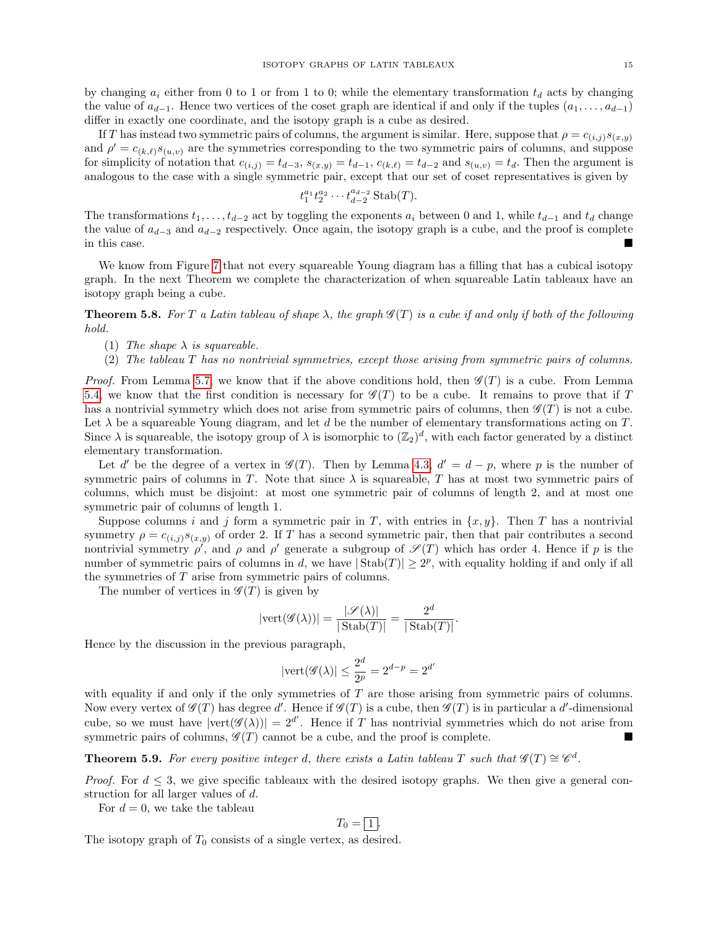by changing  $a_i$  either from 0 to 1 or from 1 to 0; while the elementary transformation  $t_d$  acts by changing the value of  $a_{d-1}$ . Hence two vertices of the coset graph are identical if and only if the tuples  $(a_1, \ldots, a_{d-1})$ differ in exactly one coordinate, and the isotopy graph is a cube as desired.

If T has instead two symmetric pairs of columns, the argument is similar. Here, suppose that  $\rho = c_{(i,j)}s_{(x,y)}$ and  $\rho' = c_{(k,\ell)} s_{(u,v)}$  are the symmetries corresponding to the two symmetric pairs of columns, and suppose for simplicity of notation that  $c_{(i,j)} = t_{d-3}$ ,  $s_{(x,y)} = t_{d-1}$ ,  $c_{(k,\ell)} = t_{d-2}$  and  $s_{(u,v)} = t_d$ . Then the argument is analogous to the case with a single symmetric pair, except that our set of coset representatives is given by

$$
t_1^{a_1} t_2^{a_2} \cdots t_{d-2}^{a_{d-2}} \operatorname{Stab}(T).
$$

The transformations  $t_1, \ldots, t_{d-2}$  act by toggling the exponents  $a_i$  between 0 and 1, while  $t_{d-1}$  and  $t_d$  change the value of  $a_{d-3}$  and  $a_{d-2}$  respectively. Once again, the isotopy graph is a cube, and the proof is complete in this case.

We know from Figure [7](#page-13-0) that not every squareable Young diagram has a filling that has a cubical isotopy graph. In the next Theorem we complete the characterization of when squareable Latin tableaux have an isotopy graph being a cube.

<span id="page-14-1"></span>**Theorem 5.8.** For T a Latin tableau of shape  $\lambda$ , the graph  $\mathscr{G}(T)$  is a cube if and only if both of the following hold.

- (1) The shape  $\lambda$  is squareable.
- (2) The tableau T has no nontrivial symmetries, except those arising from symmetric pairs of columns.

*Proof.* From Lemma [5.7,](#page-13-1) we know that if the above conditions hold, then  $\mathscr{G}(T)$  is a cube. From Lemma [5.4,](#page-12-0) we know that the first condition is necessary for  $\mathscr{G}(T)$  to be a cube. It remains to prove that if T has a nontrivial symmetry which does not arise from symmetric pairs of columns, then  $\mathscr{G}(T)$  is not a cube. Let  $\lambda$  be a squareable Young diagram, and let d be the number of elementary transformations acting on T. Since  $\lambda$  is squareable, the isotopy group of  $\lambda$  is isomorphic to  $(\mathbb{Z}_2)^d$ , with each factor generated by a distinct elementary transformation.

Let d' be the degree of a vertex in  $\mathscr{G}(T)$ . Then by Lemma [4.3,](#page-10-1)  $d' = d - p$ , where p is the number of symmetric pairs of columns in T. Note that since  $\lambda$  is squareable, T has at most two symmetric pairs of columns, which must be disjoint: at most one symmetric pair of columns of length 2, and at most one symmetric pair of columns of length 1.

Suppose columns i and j form a symmetric pair in T, with entries in  $\{x, y\}$ . Then T has a nontrivial symmetry  $\rho = c_{(i,j)}s_{(x,y)}$  of order 2. If T has a second symmetric pair, then that pair contributes a second nontrivial symmetry  $\rho'$ , and  $\rho$  and  $\rho'$  generate a subgroup of  $\mathscr{S}(T)$  which has order 4. Hence if p is the number of symmetric pairs of columns in d, we have  $|\text{Stab}(T)| \geq 2^p$ , with equality holding if and only if all the symmetries of T arise from symmetric pairs of columns.

The number of vertices in  $\mathscr{G}(T)$  is given by

$$
|\text{vert}(\mathscr{G}(\lambda))| = \frac{|\mathscr{S}(\lambda)|}{|\text{Stab}(T)|} = \frac{2^d}{|\text{Stab}(T)|}.
$$

Hence by the discussion in the previous paragraph,

$$
|\text{vert}(\mathcal{G}(\lambda)| \le \frac{2^d}{2^p} = 2^{d-p} = 2^{d'}
$$

with equality if and only if the only symmetries of T are those arising from symmetric pairs of columns. Now every vertex of  $\mathscr{G}(T)$  has degree d'. Hence if  $\mathscr{G}(T)$  is a cube, then  $\mathscr{G}(T)$  is in particular a d'-dimensional cube, so we must have  $|\text{vert}(\mathscr{G}(\lambda))|=2^{d'}$ . Hence if T has nontrivial symmetries which do not arise from symmetric pairs of columns,  $\mathscr{G}(T)$  cannot be a cube, and the proof is complete.

## <span id="page-14-0"></span>**Theorem 5.9.** For every positive integer d, there exists a Latin tableau T such that  $\mathscr{G}(T) \cong \mathscr{C}^d$ .

*Proof.* For  $d \leq 3$ , we give specific tableaux with the desired isotopy graphs. We then give a general construction for all larger values of d.

For  $d = 0$ , we take the tableau

$$
T_0 = \boxed{1}.
$$

The isotopy graph of  $T_0$  consists of a single vertex, as desired.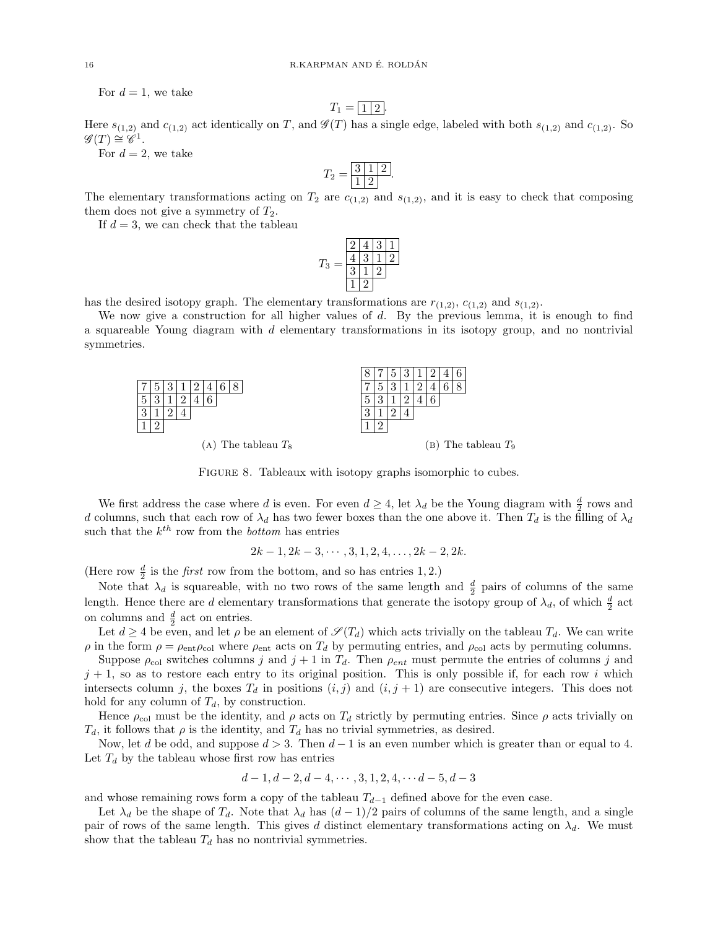For  $d=1$ , we take

$$
T_1 = \boxed{1 \mid 2}.
$$

Here  $s_{(1,2)}$  and  $c_{(1,2)}$  act identically on T, and  $\mathscr{G}(T)$  has a single edge, labeled with both  $s_{(1,2)}$  and  $c_{(1,2)}$ . So  $\mathscr{G}(T) \cong \mathscr{C}^1.$ 

For  $d = 2$ , we take

$$
T_2 = \boxed{\frac{3}{1} \boxed{1} \boxed{2}}.
$$

The elementary transformations acting on  $T_2$  are  $c_{(1,2)}$  and  $s_{(1,2)}$ , and it is easy to check that composing them does not give a symmetry of  $T_2$ .

If  $d = 3$ , we can check that the tableau

$$
T_3 = \frac{\boxed{2 \ 4 \ 3 \ 1}}{\boxed{4 \ 3 \ 1 \ 2}}
$$
  

$$
\boxed{1 \ 2}
$$

has the desired isotopy graph. The elementary transformations are  $r_{(1,2)}$ ,  $c_{(1,2)}$  and  $s_{(1,2)}$ .

We now give a construction for all higher values of d. By the previous lemma, it is enough to find a squareable Young diagram with d elementary transformations in its isotopy group, and no nontrivial symmetries.



FIGURE 8. Tableaux with isotopy graphs isomorphic to cubes.

We first address the case where d is even. For even  $d \geq 4$ , let  $\lambda_d$  be the Young diagram with  $\frac{d}{2}$  rows and d columns, such that each row of  $\lambda_d$  has two fewer boxes than the one above it. Then  $T_d$  is the filling of  $\lambda_d$ such that the  $k^{th}$  row from the *bottom* has entries

$$
2k-1, 2k-3, \cdots, 3, 1, 2, 4, \ldots, 2k-2, 2k.
$$

(Here row  $\frac{d}{2}$  is the *first* row from the bottom, and so has entries 1, 2.)

Note that  $\lambda_d$  is squareable, with no two rows of the same length and  $\frac{d}{2}$  pairs of columns of the same length. Hence there are d elementary transformations that generate the isotopy group of  $\lambda_d$ , of which  $\frac{d}{2}$  act on columns and  $\frac{d}{2}$  act on entries.

Let  $d \geq 4$  be even, and let  $\rho$  be an element of  $\mathscr{S}(T_d)$  which acts trivially on the tableau  $T_d$ . We can write ρ in the form  $ρ = ρ<sub>ent</sub>ρ<sub>col</sub>$  where  $ρ<sub>ent</sub>$  acts on  $T<sub>d</sub>$  by permuting entries, and  $ρ<sub>col</sub>$  acts by permuting columns.

Suppose  $\rho_{\text{col}}$  switches columns j and  $j + 1$  in  $T_d$ . Then  $\rho_{ent}$  must permute the entries of columns j and  $j + 1$ , so as to restore each entry to its original position. This is only possible if, for each row i which intersects column j, the boxes  $T_d$  in positions  $(i, j)$  and  $(i, j + 1)$  are consecutive integers. This does not hold for any column of  $T_d$ , by construction.

Hence  $\rho_{\text{col}}$  must be the identity, and  $\rho$  acts on  $T_d$  strictly by permuting entries. Since  $\rho$  acts trivially on  $T_d$ , it follows that  $\rho$  is the identity, and  $T_d$  has no trivial symmetries, as desired.

Now, let d be odd, and suppose  $d > 3$ . Then  $d - 1$  is an even number which is greater than or equal to 4. Let  $T_d$  by the tableau whose first row has entries

$$
d-1, d-2, d-4, \cdots, 3, 1, 2, 4, \cdots d-5, d-3
$$

and whose remaining rows form a copy of the tableau  $T_{d-1}$  defined above for the even case.

Let  $\lambda_d$  be the shape of  $T_d$ . Note that  $\lambda_d$  has  $(d-1)/2$  pairs of columns of the same length, and a single pair of rows of the same length. This gives d distinct elementary transformations acting on  $\lambda_d$ . We must show that the tableau  $T_d$  has no nontrivial symmetries.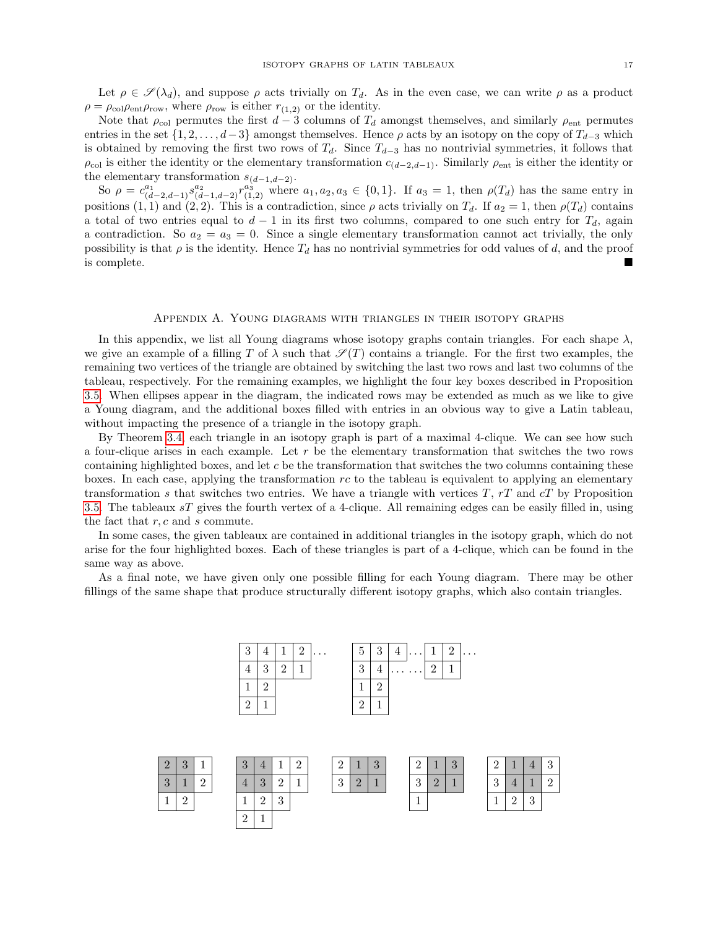Let  $\rho \in \mathscr{S}(\lambda_d)$ , and suppose  $\rho$  acts trivially on  $T_d$ . As in the even case, we can write  $\rho$  as a product  $\rho = \rho_{\text{col}} \rho_{\text{ent}} \rho_{\text{row}}$ , where  $\rho_{\text{row}}$  is either  $r_{(1,2)}$  or the identity.

Note that  $\rho_{\text{col}}$  permutes the first  $d-3$  columns of  $T_d$  amongst themselves, and similarly  $\rho_{\text{ent}}$  permutes entries in the set  $\{1, 2, \ldots, d-3\}$  amongst themselves. Hence  $\rho$  acts by an isotopy on the copy of  $T_{d-3}$  which is obtained by removing the first two rows of  $T_d$ . Since  $T_{d-3}$  has no nontrivial symmetries, it follows that  $\rho_{\text{col}}$  is either the identity or the elementary transformation  $c_{(d-2,d-1)}$ . Similarly  $\rho_{\text{ent}}$  is either the identity or the elementary transformation  $s_{(d-1,d-2)}$ .

So  $\rho = c_{(d-2,d-1)}^{a_1} s_{(d-1,d-2)}^{a_2} r_{(1,2)}^{a_3}$  where  $a_1, a_2, a_3 \in \{0,1\}$ . If  $a_3 = 1$ , then  $\rho(T_d)$  has the same entry in positions (1, 1) and (2, 2). This is a contradiction, since  $\rho$  acts trivially on  $T_d$ . If  $a_2 = 1$ , then  $\rho(T_d)$  contains a total of two entries equal to  $d-1$  in its first two columns, compared to one such entry for  $T<sub>d</sub>$ , again a contradiction. So  $a_2 = a_3 = 0$ . Since a single elementary transformation cannot act trivially, the only possibility is that  $\rho$  is the identity. Hence  $T_d$  has no nontrivial symmetries for odd values of d, and the proof is complete.

#### Appendix A. Young diagrams with triangles in their isotopy graphs

<span id="page-16-0"></span>In this appendix, we list all Young diagrams whose isotopy graphs contain triangles. For each shape  $\lambda$ , we give an example of a filling T of  $\lambda$  such that  $\mathscr{S}(T)$  contains a triangle. For the first two examples, the remaining two vertices of the triangle are obtained by switching the last two rows and last two columns of the tableau, respectively. For the remaining examples, we highlight the four key boxes described in Proposition [3.5.](#page-8-1) When ellipses appear in the diagram, the indicated rows may be extended as much as we like to give a Young diagram, and the additional boxes filled with entries in an obvious way to give a Latin tableau, without impacting the presence of a triangle in the isotopy graph.

By Theorem [3.4,](#page-8-0) each triangle in an isotopy graph is part of a maximal 4-clique. We can see how such a four-clique arises in each example. Let  $r$  be the elementary transformation that switches the two rows containing highlighted boxes, and let  $c$  be the transformation that switches the two columns containing these boxes. In each case, applying the transformation  $rc$  to the tableau is equivalent to applying an elementary transformation s that switches two entries. We have a triangle with vertices  $T$ ,  $rT$  and  $cT$  by Proposition [3.5.](#page-8-1) The tableaux sT gives the fourth vertex of a 4-clique. All remaining edges can be easily filled in, using the fact that  $r, c$  and  $s$  commute.

In some cases, the given tableaux are contained in additional triangles in the isotopy graph, which do not arise for the four highlighted boxes. Each of these triangles is part of a 4-clique, which can be found in the same way as above.

As a final note, we have given only one possible filling for each Young diagram. There may be other fillings of the same shape that produce structurally different isotopy graphs, which also contain triangles.

| $\overline{2}$<br>$\mathbf{1}$<br>3<br>3<br>4<br>$\overline{2}$<br>$\mathbf{1}$ |  |
|---------------------------------------------------------------------------------|--|
|                                                                                 |  |
| $\mathfrak{D}$<br>2                                                             |  |
| $\overline{2}$<br>$\overline{2}$                                                |  |

| $\overline{2}$ | $\Omega$<br>IJ |          | $\Omega$<br>ູ  | $\overline{4}$ | -             |          | $\Omega$      |               | $\Omega$<br>IJ | $\Omega$<br>↵ |          | $\Omega$<br>IJ | $\Omega$      |   |               | $\Omega$<br>◡ |
|----------------|----------------|----------|----------------|----------------|---------------|----------|---------------|---------------|----------------|---------------|----------|----------------|---------------|---|---------------|---------------|
| 3              |                | $\Omega$ | $\overline{4}$ | $\Omega$<br>◡  | $\Omega$<br>∸ | <b>A</b> | $\Omega$<br>◡ | $\Omega$<br>▱ | -              | $\Omega$<br>◡ | $\Omega$ |                | $\Omega$<br>ಀ |   | ×.            | $\Omega$      |
| 1<br>┻         |                |          | -              | $\Omega$<br>∼  | $\Omega$<br>υ |          |               |               |                |               |          |                |               | c | $\Omega$<br>υ |               |
|                |                |          | $\Omega$<br>∸  |                |               |          |               |               |                |               |          |                |               |   |               |               |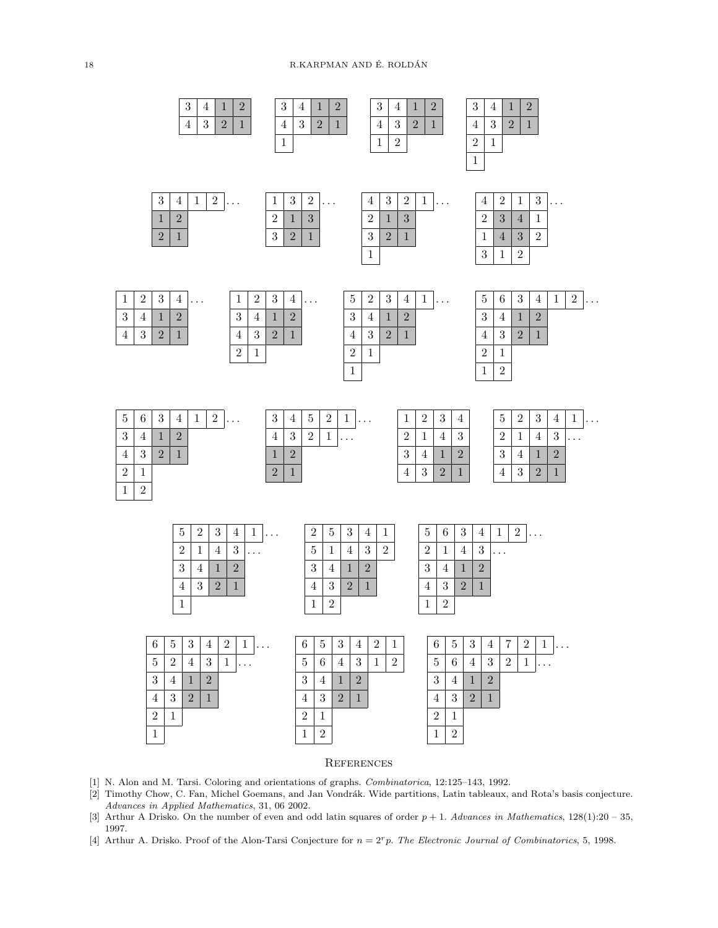18 R.KARPMAN AND É. ROLDÁN



## **REFERENCES**

- <span id="page-17-1"></span>[1] N. Alon and M. Tarsi. Coloring and orientations of graphs. Combinatorica, 12:125–143, 1992.
- <span id="page-17-0"></span>[2] Timothy Chow, C. Fan, Michel Goemans, and Jan Vondrák. Wide partitions, Latin tableaux, and Rota's basis conjecture. Advances in Applied Mathematics, 31, 06 2002.
- <span id="page-17-2"></span>[3] Arthur A Drisko. On the number of even and odd latin squares of order  $p + 1$ . Advances in Mathematics,  $128(1):20 - 35$ , 1997.
- <span id="page-17-3"></span>[4] Arthur A. Drisko. Proof of the Alon-Tarsi Conjecture for  $n = 2<sup>r</sup>p$ . The Electronic Journal of Combinatorics, 5, 1998.